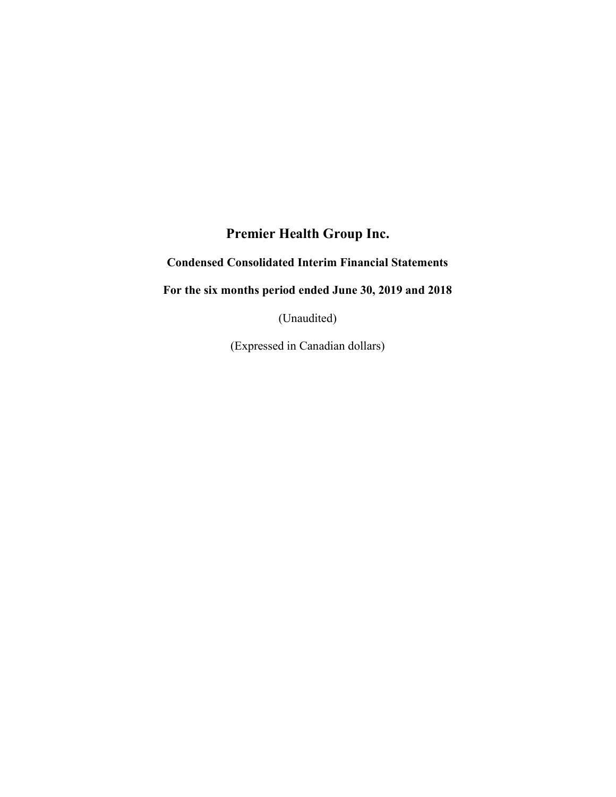# Premier Health Group Inc.

# Condensed Consolidated Interim Financial Statements

# For the six months period ended June 30, 2019 and 2018

(Unaudited)

(Expressed in Canadian dollars)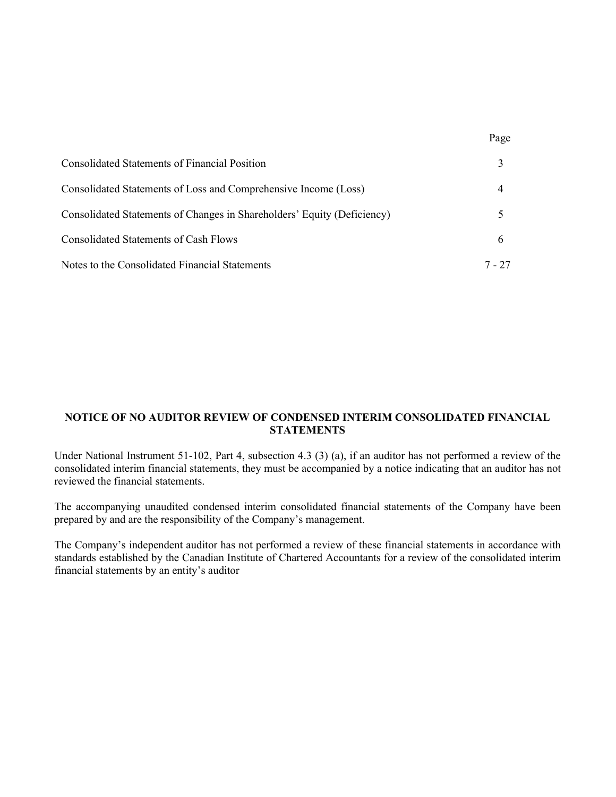| <b>Consolidated Statements of Financial Position</b>                    |        |
|-------------------------------------------------------------------------|--------|
| Consolidated Statements of Loss and Comprehensive Income (Loss)         |        |
| Consolidated Statements of Changes in Shareholders' Equity (Deficiency) |        |
| Consolidated Statements of Cash Flows                                   | h      |
| Notes to the Consolidated Financial Statements                          | 7 - 27 |

Page

## NOTICE OF NO AUDITOR REVIEW OF CONDENSED INTERIM CONSOLIDATED FINANCIAL STATEMENTS

Under National Instrument 51-102, Part 4, subsection 4.3 (3) (a), if an auditor has not performed a review of the consolidated interim financial statements, they must be accompanied by a notice indicating that an auditor has not reviewed the financial statements.

The accompanying unaudited condensed interim consolidated financial statements of the Company have been prepared by and are the responsibility of the Company's management.

The Company's independent auditor has not performed a review of these financial statements in accordance with standards established by the Canadian Institute of Chartered Accountants for a review of the consolidated interim financial statements by an entity's auditor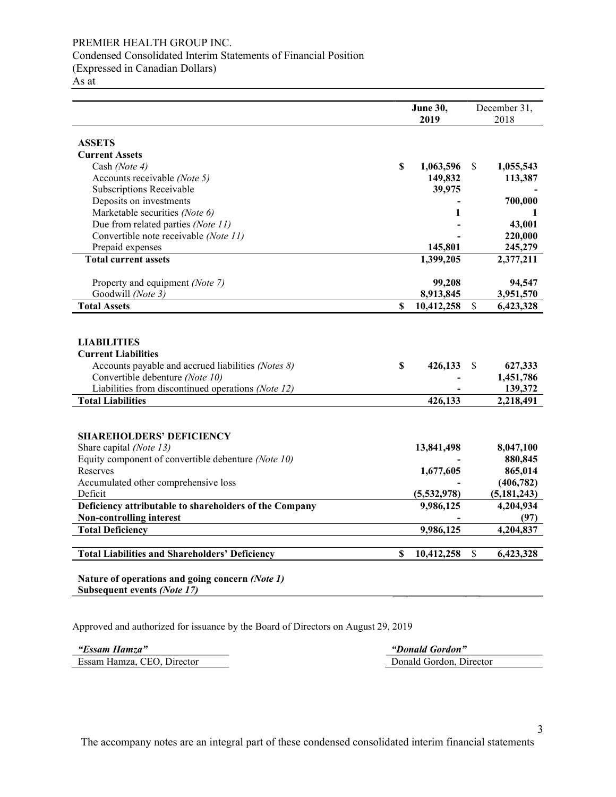# PREMIER HEALTH GROUP INC.

Condensed Consolidated Interim Statements of Financial Position

(Expressed in Canadian Dollars)

As at

|                                                        | June 30,<br>2019          |             |              | December 31,<br>2018 |
|--------------------------------------------------------|---------------------------|-------------|--------------|----------------------|
|                                                        |                           |             |              |                      |
| <b>ASSETS</b>                                          |                           |             |              |                      |
| <b>Current Assets</b>                                  |                           |             |              |                      |
| Cash (Note 4)                                          | $\boldsymbol{\mathsf{S}}$ | 1,063,596   | \$           | 1,055,543            |
| Accounts receivable (Note 5)                           |                           | 149,832     |              | 113,387              |
| Subscriptions Receivable                               |                           | 39,975      |              |                      |
| Deposits on investments                                |                           |             |              | 700,000              |
| Marketable securities (Note 6)                         |                           | 1           |              |                      |
| Due from related parties (Note 11)                     |                           |             |              | 43,001               |
| Convertible note receivable (Note 11)                  |                           |             |              | 220,000              |
| Prepaid expenses                                       |                           | 145,801     |              | 245,279              |
| <b>Total current assets</b>                            |                           | 1,399,205   |              | 2,377,211            |
|                                                        |                           |             |              |                      |
| Property and equipment (Note 7)                        |                           | 99,208      |              | 94,547               |
| Goodwill (Note 3)                                      |                           | 8,913,845   |              | 3,951,570            |
| <b>Total Assets</b>                                    | $\mathbf S$               | 10,412,258  | \$           | 6,423,328            |
| <b>LIABILITIES</b><br><b>Current Liabilities</b>       |                           |             |              |                      |
| Accounts payable and accrued liabilities (Notes 8)     | $\boldsymbol{\mathsf{S}}$ | 426,133     | S            | 627,333              |
| Convertible debenture (Note 10)                        |                           |             |              | 1,451,786            |
| Liabilities from discontinued operations (Note 12)     |                           |             |              | 139,372              |
| <b>Total Liabilities</b>                               |                           | 426,133     |              | 2,218,491            |
|                                                        |                           |             |              |                      |
| <b>SHAREHOLDERS' DEFICIENCY</b>                        |                           |             |              |                      |
| Share capital (Note 13)                                |                           | 13,841,498  |              | 8,047,100            |
| Equity component of convertible debenture (Note 10)    |                           |             |              | 880,845              |
| Reserves                                               |                           | 1,677,605   |              | 865,014              |
| Accumulated other comprehensive loss                   |                           |             |              | (406, 782)           |
| Deficit                                                |                           | (5,532,978) |              | (5, 181, 243)        |
| Deficiency attributable to shareholders of the Company |                           | 9,986,125   |              | 4,204,934            |
| <b>Non-controlling interest</b>                        |                           |             |              | (97)                 |
| <b>Total Deficiency</b>                                |                           | 9,986,125   |              | 4,204,837            |
| <b>Total Liabilities and Shareholders' Deficiency</b>  | \$                        | 10,412,258  | $\mathbb{S}$ | 6,423,328            |
| Nature of operations and going concern (Note 1)        |                           |             |              |                      |

Subsequent events (Note 17)

Approved and authorized for issuance by the Board of Directors on August 29, 2019

"Essam Hamza" "Donald Gordon" Essam Hamza, CEO, Director Donald Gordon, Director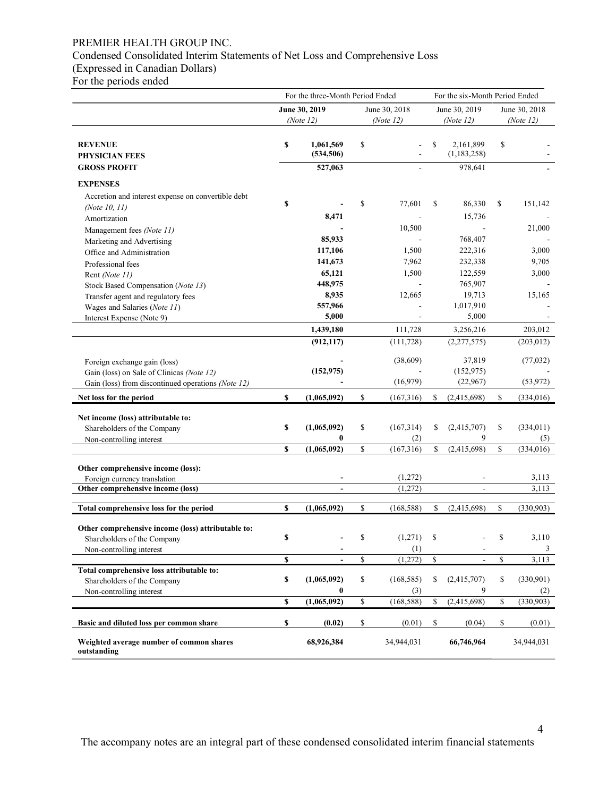# PREMIER HEALTH GROUP INC.

# Condensed Consolidated Interim Statements of Net Loss and Comprehensive Loss

(Expressed in Canadian Dollars)

For the periods ended

|                                                         |           | For the three-Month Period Ended |             |                          |                          | For the six-Month Period Ended |               |  |
|---------------------------------------------------------|-----------|----------------------------------|-------------|--------------------------|--------------------------|--------------------------------|---------------|--|
|                                                         |           | June 30, 2019                    |             | June 30, 2018            | June 30, 2019            |                                | June 30, 2018 |  |
|                                                         | (Note 12) |                                  |             | (Note $12$ )             | (Note 12)                |                                | (Note $12$ )  |  |
|                                                         |           |                                  |             |                          |                          |                                |               |  |
| <b>REVENUE</b>                                          | \$        | 1,061,569                        | \$          |                          | \$<br>2,161,899          | \$                             |               |  |
| <b>PHYSICIAN FEES</b>                                   |           | (534, 506)                       |             |                          | (1, 183, 258)            |                                |               |  |
| <b>GROSS PROFIT</b>                                     |           | 527,063                          |             |                          | 978,641                  |                                |               |  |
| <b>EXPENSES</b>                                         |           |                                  |             |                          |                          |                                |               |  |
| Accretion and interest expense on convertible debt      |           |                                  |             |                          |                          |                                |               |  |
| (Note 10, 11)                                           | \$        |                                  | \$          | 77,601                   | \$<br>86,330             | \$                             | 151,142       |  |
| Amortization                                            |           | 8,471                            |             |                          | 15,736                   |                                |               |  |
| Management fees (Note 11)                               |           |                                  |             | 10,500                   |                          |                                | 21,000        |  |
| Marketing and Advertising                               |           | 85,933                           |             |                          | 768,407                  |                                |               |  |
| Office and Administration                               |           | 117,106                          |             | 1,500                    | 222,316                  |                                | 3,000         |  |
| Professional fees                                       |           | 141,673                          |             | 7,962                    | 232,338                  |                                | 9,705         |  |
| Rent (Note 11)                                          |           | 65,121                           |             | 1,500                    | 122,559                  |                                | 3,000         |  |
| Stock Based Compensation (Note 13)                      |           | 448,975                          |             |                          | 765,907                  |                                |               |  |
| Transfer agent and regulatory fees                      |           | 8,935                            |             | 12,665                   | 19,713                   |                                | 15,165        |  |
| Wages and Salaries (Note 11)                            |           | 557,966                          |             |                          | 1,017,910                |                                |               |  |
| Interest Expense (Note 9)                               |           | 5,000                            |             | $\overline{\phantom{a}}$ | 5,000                    |                                |               |  |
|                                                         |           | 1,439,180                        |             | 111,728                  | 3,256,216                |                                | 203,012       |  |
|                                                         |           | (912, 117)                       |             | (111, 728)               | (2,277,575)              |                                | (203, 012)    |  |
| Foreign exchange gain (loss)                            |           |                                  |             | (38,609)                 | 37,819                   |                                | (77, 032)     |  |
| Gain (loss) on Sale of Clinicas (Note 12)               |           | (152, 975)                       |             |                          | (152, 975)               |                                |               |  |
| Gain (loss) from discontinued operations (Note 12)      |           |                                  |             | (16,979)                 | (22,967)                 |                                | (53, 972)     |  |
| Net loss for the period                                 | \$        | (1,065,092)                      | $\mathbf S$ | (167,316)                | \$<br>(2,415,698)        | \$                             | (334,016)     |  |
|                                                         |           |                                  |             |                          |                          |                                |               |  |
| Net income (loss) attributable to:                      |           |                                  |             |                          |                          |                                |               |  |
| Shareholders of the Company                             | \$        | (1,065,092)                      | \$          | (167, 314)               | \$<br>(2,415,707)        | \$                             | (334, 011)    |  |
| Non-controlling interest                                |           | $\bf{0}$                         |             | (2)                      | 9                        |                                | (5)           |  |
|                                                         | \$        | (1,065,092)                      | \$          | (167,316)                | \$<br>(2,415,698)        | \$                             | (334,016)     |  |
| Other comprehensive income (loss):                      |           |                                  |             |                          |                          |                                |               |  |
| Foreign currency translation                            |           |                                  |             | (1,272)                  |                          |                                | 3,113         |  |
| Other comprehensive income (loss)                       |           | $\blacksquare$                   |             | (1,272)                  | $\overline{\phantom{a}}$ |                                | 3,113         |  |
|                                                         |           |                                  |             |                          |                          |                                |               |  |
| Total comprehensive loss for the period                 | \$        | (1,065,092)                      | \$          | (168, 588)               | \$<br>(2,415,698)        | \$                             | (330,903)     |  |
| Other comprehensive income (loss) attributable to:      |           |                                  |             |                          |                          |                                |               |  |
| Shareholders of the Company                             | \$        |                                  | \$          | (1,271)                  | \$                       | \$                             | 3.110         |  |
| Non-controlling interest                                |           | $\overline{a}$                   |             | (1)                      |                          |                                | 3             |  |
|                                                         | \$        |                                  | \$          | (1,272)                  | \$                       | $\mathbb{S}$                   | 3,113         |  |
| Total comprehensive loss attributable to:               |           |                                  |             |                          |                          |                                |               |  |
| Shareholders of the Company                             | \$        | (1,065,092)                      | \$          | (168, 585)               | \$<br>(2,415,707)        | \$                             | (330,901)     |  |
| Non-controlling interest                                |           | 0                                |             | (3)                      | 9                        |                                | (2)           |  |
|                                                         | \$        | (1,065,092)                      | \$          | (168, 588)               | \$<br>(2,415,698)        | \$                             | (330,903)     |  |
| Basic and diluted loss per common share                 | \$        | (0.02)                           | \$          | (0.01)                   | \$<br>(0.04)             | \$                             | (0.01)        |  |
|                                                         |           |                                  |             |                          |                          |                                |               |  |
| Weighted average number of common shares<br>outstanding |           | 68,926,384                       |             | 34,944,031               | 66,746,964               |                                | 34,944,031    |  |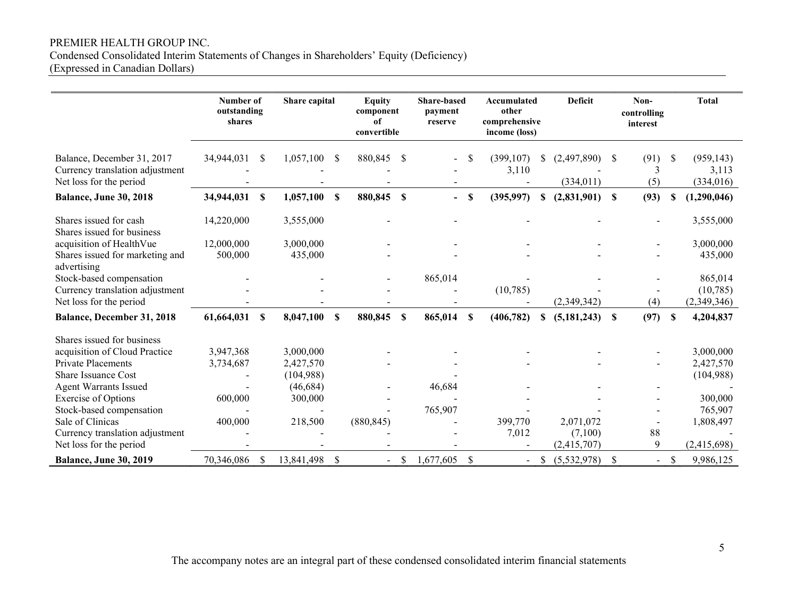# PREMIER HEALTH GROUP INC.

Condensed Consolidated Interim Statements of Changes in Shareholders' Equity (Deficiency)

(Expressed in Canadian Dollars)

|                                                                                          | Number of<br>outstanding<br>shares |              |            | Share capital |                | <b>Equity</b><br>component<br>of<br>convertible |                | <b>Share-based</b>        | Accumulated<br>other<br>comprehensive<br>income (loss) |    | Deficit                   |          | Non-<br>controlling<br>interest |    | <b>Total</b>                     |
|------------------------------------------------------------------------------------------|------------------------------------|--------------|------------|---------------|----------------|-------------------------------------------------|----------------|---------------------------|--------------------------------------------------------|----|---------------------------|----------|---------------------------------|----|----------------------------------|
| Balance, December 31, 2017<br>Currency translation adjustment<br>Net loss for the period | 34,944,031                         | <sup>S</sup> | 1,057,100  | <sup>S</sup>  | 880,845        | -S                                              |                | \$                        | (399, 107)<br>3,110                                    | S. | (2,497,890)<br>(334, 011) | -S       | (91)<br>3<br>(5)                | S  | (959, 143)<br>3,113<br>(334,016) |
| Balance, June 30, 2018                                                                   | 34,944,031                         | <b>S</b>     | 1,057,100  | <b>S</b>      | 880,845 \$     |                                                 | $\blacksquare$ | \$                        | (395, 997)                                             | \$ | (2,831,901)               | -S       | (93)                            | \$ | (1,290,046)                      |
| Shares issued for cash<br>Shares issued for business                                     | 14,220,000                         |              | 3,555,000  |               |                |                                                 |                |                           |                                                        |    |                           |          |                                 |    | 3,555,000                        |
| acquisition of HealthVue                                                                 | 12,000,000                         |              | 3,000,000  |               |                |                                                 |                |                           |                                                        |    |                           |          |                                 |    | 3,000,000                        |
| Shares issued for marketing and<br>advertising                                           | 500,000                            |              | 435,000    |               |                |                                                 |                |                           |                                                        |    |                           |          |                                 |    | 435,000                          |
| Stock-based compensation                                                                 |                                    |              |            |               |                |                                                 | 865,014        |                           |                                                        |    |                           |          |                                 |    | 865,014                          |
| Currency translation adjustment<br>Net loss for the period                               |                                    |              |            |               |                |                                                 |                |                           | (10,785)                                               |    | (2,349,342)               |          | (4)                             |    | (10,785)<br>(2,349,346)          |
| Balance, December 31, 2018                                                               | 61,664,031                         | <b>S</b>     | 8,047,100  | -S            | 880,845        | $\mathbf S$                                     | 865,014        | $\boldsymbol{\mathsf{S}}$ | (406, 782)                                             | S  | (5, 181, 243)             | <b>S</b> | (97)                            | \$ | 4,204,837                        |
| Shares issued for business                                                               |                                    |              |            |               |                |                                                 |                |                           |                                                        |    |                           |          |                                 |    |                                  |
| acquisition of Cloud Practice                                                            | 3,947,368                          |              | 3,000,000  |               |                |                                                 |                |                           |                                                        |    |                           |          |                                 |    | 3,000,000                        |
| <b>Private Placements</b>                                                                | 3,734,687                          |              | 2,427,570  |               |                |                                                 |                |                           |                                                        |    |                           |          |                                 |    | 2,427,570                        |
| <b>Share Issuance Cost</b>                                                               |                                    |              | (104,988)  |               |                |                                                 |                |                           |                                                        |    |                           |          |                                 |    | (104,988)                        |
| <b>Agent Warrants Issued</b>                                                             |                                    |              | (46, 684)  |               |                |                                                 | 46,684         |                           |                                                        |    |                           |          |                                 |    |                                  |
| <b>Exercise of Options</b>                                                               | 600,000                            |              | 300,000    |               |                |                                                 |                |                           |                                                        |    |                           |          |                                 |    | 300,000                          |
| Stock-based compensation                                                                 |                                    |              |            |               |                |                                                 | 765,907        |                           |                                                        |    |                           |          |                                 |    | 765,907                          |
| Sale of Clinicas                                                                         | 400,000                            |              | 218,500    |               | (880, 845)     |                                                 |                |                           | 399,770                                                |    | 2,071,072                 |          |                                 |    | 1,808,497                        |
| Currency translation adjustment                                                          |                                    |              |            |               |                |                                                 |                |                           | 7,012                                                  |    | (7,100)                   |          | 88                              |    |                                  |
| Net loss for the period                                                                  |                                    |              |            |               |                |                                                 |                |                           |                                                        |    | (2,415,707)               |          | 9                               |    | (2,415,698)                      |
| Balance, June 30, 2019                                                                   | 70,346,086                         | -S           | 13,841,498 | -S            | $\blacksquare$ | \$                                              | 1,677,605      | \$                        | $\blacksquare$                                         | \$ | (5,532,978)               | -S       |                                 | S  | 9,986,125                        |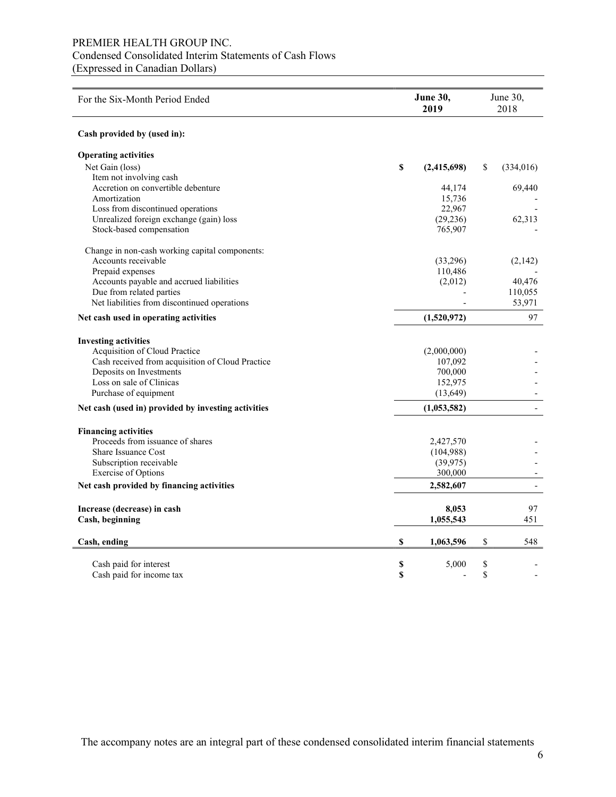# PREMIER HEALTH GROUP INC. Condensed Consolidated Interim Statements of Cash Flows (Expressed in Canadian Dollars)

| For the Six-Month Period Ended                                  |    | June 30,<br>2018 |                          |
|-----------------------------------------------------------------|----|------------------|--------------------------|
| Cash provided by (used in):                                     |    |                  |                          |
| <b>Operating activities</b>                                     |    |                  |                          |
| Net Gain (loss)                                                 | \$ | (2,415,698)      | \$<br>(334,016)          |
| Item not involving cash                                         |    |                  |                          |
| Accretion on convertible debenture                              |    | 44,174           | 69,440                   |
| Amortization                                                    |    | 15,736           |                          |
| Loss from discontinued operations                               |    | 22,967           |                          |
| Unrealized foreign exchange (gain) loss                         |    | (29, 236)        | 62,313                   |
| Stock-based compensation                                        |    | 765,907          |                          |
| Change in non-cash working capital components:                  |    |                  |                          |
| Accounts receivable                                             |    | (33,296)         | (2,142)                  |
| Prepaid expenses                                                |    | 110,486          |                          |
| Accounts payable and accrued liabilities                        |    | (2,012)          | 40,476                   |
| Due from related parties                                        |    |                  | 110,055                  |
| Net liabilities from discontinued operations                    |    |                  | 53,971                   |
| Net cash used in operating activities                           |    | (1,520,972)      | 97                       |
| <b>Investing activities</b>                                     |    |                  |                          |
| Acquisition of Cloud Practice                                   |    | (2,000,000)      |                          |
| Cash received from acquisition of Cloud Practice                |    | 107,092          |                          |
| Deposits on Investments                                         |    | 700,000          |                          |
| Loss on sale of Clinicas                                        |    | 152,975          |                          |
| Purchase of equipment                                           |    | (13, 649)        |                          |
| Net cash (used in) provided by investing activities             |    | (1,053,582)      |                          |
|                                                                 |    |                  |                          |
| <b>Financing activities</b><br>Proceeds from issuance of shares |    | 2,427,570        |                          |
| <b>Share Issuance Cost</b>                                      |    | (104,988)        |                          |
| Subscription receivable                                         |    | (39, 975)        |                          |
| <b>Exercise of Options</b>                                      |    | 300,000          |                          |
| Net cash provided by financing activities                       |    | 2,582,607        | $\overline{\phantom{a}}$ |
|                                                                 |    |                  |                          |
| Increase (decrease) in cash                                     |    | 8,053            | 97                       |
| Cash, beginning                                                 |    | 1,055,543        | 451                      |
| Cash, ending                                                    | \$ | 1,063,596        | \$<br>548                |
| Cash paid for interest                                          | \$ | 5,000            | \$                       |
| Cash paid for income tax                                        | \$ |                  | \$                       |
|                                                                 |    |                  |                          |

The accompany notes are an integral part of these condensed consolidated interim financial statements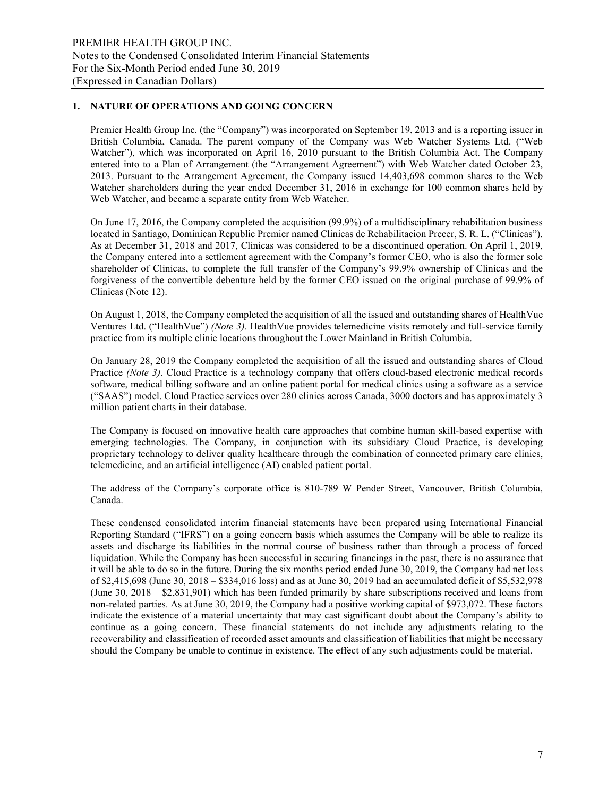#### 1. NATURE OF OPERATIONS AND GOING CONCERN

Premier Health Group Inc. (the "Company") was incorporated on September 19, 2013 and is a reporting issuer in British Columbia, Canada. The parent company of the Company was Web Watcher Systems Ltd. ("Web Watcher"), which was incorporated on April 16, 2010 pursuant to the British Columbia Act. The Company entered into to a Plan of Arrangement (the "Arrangement Agreement") with Web Watcher dated October 23, 2013. Pursuant to the Arrangement Agreement, the Company issued 14,403,698 common shares to the Web Watcher shareholders during the year ended December 31, 2016 in exchange for 100 common shares held by Web Watcher, and became a separate entity from Web Watcher.

On June 17, 2016, the Company completed the acquisition (99.9%) of a multidisciplinary rehabilitation business located in Santiago, Dominican Republic Premier named Clinicas de Rehabilitacion Precer, S. R. L. ("Clinicas"). As at December 31, 2018 and 2017, Clinicas was considered to be a discontinued operation. On April 1, 2019, the Company entered into a settlement agreement with the Company's former CEO, who is also the former sole shareholder of Clinicas, to complete the full transfer of the Company's 99.9% ownership of Clinicas and the forgiveness of the convertible debenture held by the former CEO issued on the original purchase of 99.9% of Clinicas (Note 12).

On August 1, 2018, the Company completed the acquisition of all the issued and outstanding shares of HealthVue Ventures Ltd. ("HealthVue") (Note 3). HealthVue provides telemedicine visits remotely and full-service family practice from its multiple clinic locations throughout the Lower Mainland in British Columbia.

On January 28, 2019 the Company completed the acquisition of all the issued and outstanding shares of Cloud Practice (Note 3). Cloud Practice is a technology company that offers cloud-based electronic medical records software, medical billing software and an online patient portal for medical clinics using a software as a service ("SAAS") model. Cloud Practice services over 280 clinics across Canada, 3000 doctors and has approximately 3 million patient charts in their database.

The Company is focused on innovative health care approaches that combine human skill-based expertise with emerging technologies. The Company, in conjunction with its subsidiary Cloud Practice, is developing proprietary technology to deliver quality healthcare through the combination of connected primary care clinics, telemedicine, and an artificial intelligence (AI) enabled patient portal.

The address of the Company's corporate office is 810-789 W Pender Street, Vancouver, British Columbia, Canada.

These condensed consolidated interim financial statements have been prepared using International Financial Reporting Standard ("IFRS") on a going concern basis which assumes the Company will be able to realize its assets and discharge its liabilities in the normal course of business rather than through a process of forced liquidation. While the Company has been successful in securing financings in the past, there is no assurance that it will be able to do so in the future. During the six months period ended June 30, 2019, the Company had net loss of \$2,415,698 (June 30, 2018 – \$334,016 loss) and as at June 30, 2019 had an accumulated deficit of \$5,532,978 (June 30, 2018 – \$2,831,901) which has been funded primarily by share subscriptions received and loans from non-related parties. As at June 30, 2019, the Company had a positive working capital of \$973,072. These factors indicate the existence of a material uncertainty that may cast significant doubt about the Company's ability to continue as a going concern. These financial statements do not include any adjustments relating to the recoverability and classification of recorded asset amounts and classification of liabilities that might be necessary should the Company be unable to continue in existence. The effect of any such adjustments could be material.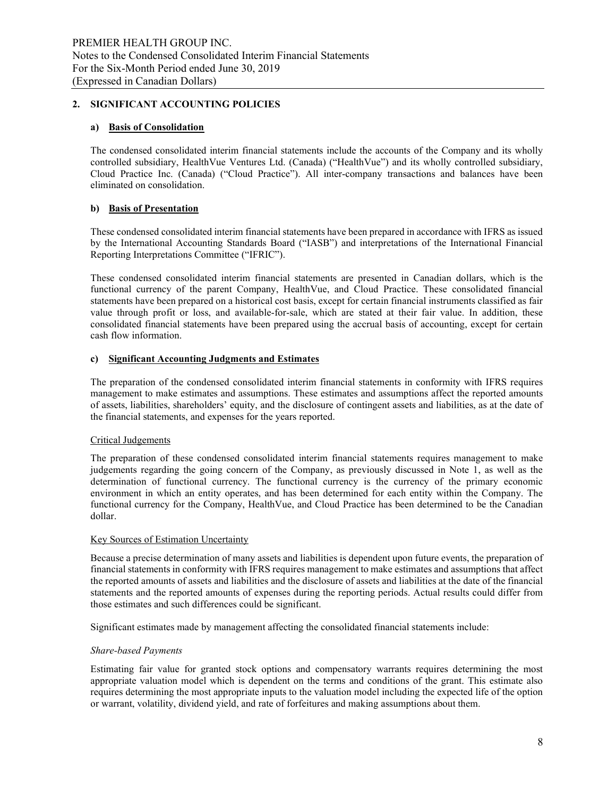## 2. SIGNIFICANT ACCOUNTING POLICIES

## a) Basis of Consolidation

The condensed consolidated interim financial statements include the accounts of the Company and its wholly controlled subsidiary, HealthVue Ventures Ltd. (Canada) ("HealthVue") and its wholly controlled subsidiary, Cloud Practice Inc. (Canada) ("Cloud Practice"). All inter-company transactions and balances have been eliminated on consolidation.

## b) Basis of Presentation

These condensed consolidated interim financial statements have been prepared in accordance with IFRS as issued by the International Accounting Standards Board ("IASB") and interpretations of the International Financial Reporting Interpretations Committee ("IFRIC").

These condensed consolidated interim financial statements are presented in Canadian dollars, which is the functional currency of the parent Company, HealthVue, and Cloud Practice. These consolidated financial statements have been prepared on a historical cost basis, except for certain financial instruments classified as fair value through profit or loss, and available-for-sale, which are stated at their fair value. In addition, these consolidated financial statements have been prepared using the accrual basis of accounting, except for certain cash flow information.

## c) Significant Accounting Judgments and Estimates

The preparation of the condensed consolidated interim financial statements in conformity with IFRS requires management to make estimates and assumptions. These estimates and assumptions affect the reported amounts of assets, liabilities, shareholders' equity, and the disclosure of contingent assets and liabilities, as at the date of the financial statements, and expenses for the years reported.

## Critical Judgements

The preparation of these condensed consolidated interim financial statements requires management to make judgements regarding the going concern of the Company, as previously discussed in Note 1, as well as the determination of functional currency. The functional currency is the currency of the primary economic environment in which an entity operates, and has been determined for each entity within the Company. The functional currency for the Company, HealthVue, and Cloud Practice has been determined to be the Canadian dollar.

## Key Sources of Estimation Uncertainty

Because a precise determination of many assets and liabilities is dependent upon future events, the preparation of financial statements in conformity with IFRS requires management to make estimates and assumptions that affect the reported amounts of assets and liabilities and the disclosure of assets and liabilities at the date of the financial statements and the reported amounts of expenses during the reporting periods. Actual results could differ from those estimates and such differences could be significant.

Significant estimates made by management affecting the consolidated financial statements include:

## Share-based Payments

Estimating fair value for granted stock options and compensatory warrants requires determining the most appropriate valuation model which is dependent on the terms and conditions of the grant. This estimate also requires determining the most appropriate inputs to the valuation model including the expected life of the option or warrant, volatility, dividend yield, and rate of forfeitures and making assumptions about them.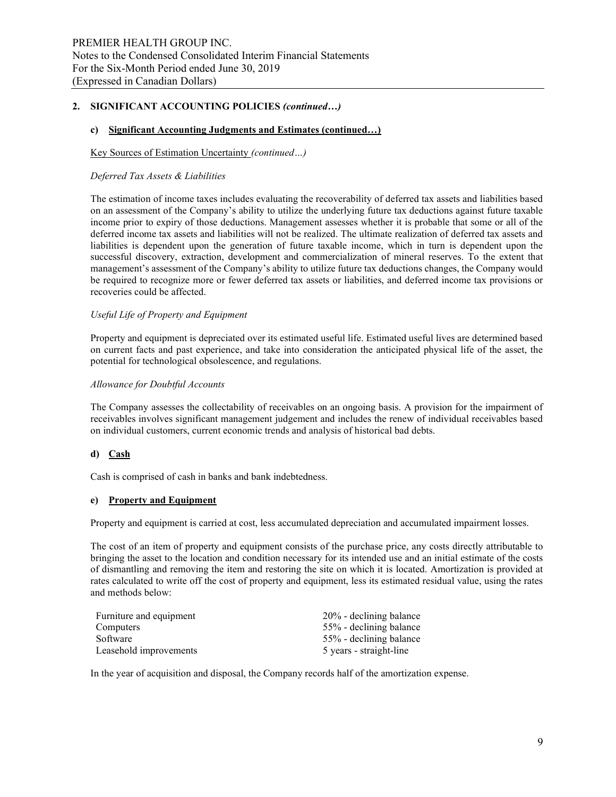#### c) Significant Accounting Judgments and Estimates (continued…)

#### Key Sources of Estimation Uncertainty (continued…)

#### Deferred Tax Assets & Liabilities

The estimation of income taxes includes evaluating the recoverability of deferred tax assets and liabilities based on an assessment of the Company's ability to utilize the underlying future tax deductions against future taxable income prior to expiry of those deductions. Management assesses whether it is probable that some or all of the deferred income tax assets and liabilities will not be realized. The ultimate realization of deferred tax assets and liabilities is dependent upon the generation of future taxable income, which in turn is dependent upon the successful discovery, extraction, development and commercialization of mineral reserves. To the extent that management's assessment of the Company's ability to utilize future tax deductions changes, the Company would be required to recognize more or fewer deferred tax assets or liabilities, and deferred income tax provisions or recoveries could be affected.

#### Useful Life of Property and Equipment

Property and equipment is depreciated over its estimated useful life. Estimated useful lives are determined based on current facts and past experience, and take into consideration the anticipated physical life of the asset, the potential for technological obsolescence, and regulations.

#### Allowance for Doubtful Accounts

The Company assesses the collectability of receivables on an ongoing basis. A provision for the impairment of receivables involves significant management judgement and includes the renew of individual receivables based on individual customers, current economic trends and analysis of historical bad debts.

## d) Cash

Cash is comprised of cash in banks and bank indebtedness.

#### e) Property and Equipment

Property and equipment is carried at cost, less accumulated depreciation and accumulated impairment losses.

The cost of an item of property and equipment consists of the purchase price, any costs directly attributable to bringing the asset to the location and condition necessary for its intended use and an initial estimate of the costs of dismantling and removing the item and restoring the site on which it is located. Amortization is provided at rates calculated to write off the cost of property and equipment, less its estimated residual value, using the rates and methods below:

| Furniture and equipment | 20% - declining balance |
|-------------------------|-------------------------|
| Computers               | 55% - declining balance |
| Software                | 55% - declining balance |
| Leasehold improvements  | 5 years - straight-line |

In the year of acquisition and disposal, the Company records half of the amortization expense.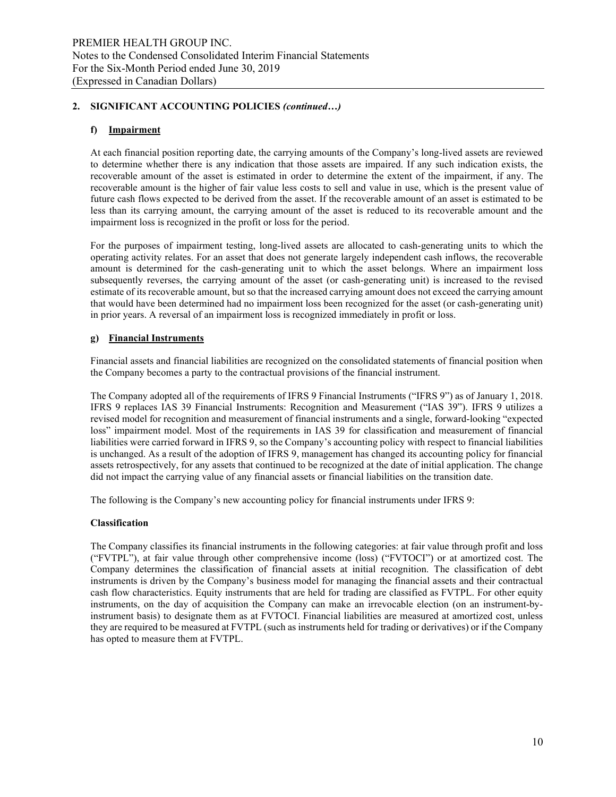## f) Impairment

At each financial position reporting date, the carrying amounts of the Company's long-lived assets are reviewed to determine whether there is any indication that those assets are impaired. If any such indication exists, the recoverable amount of the asset is estimated in order to determine the extent of the impairment, if any. The recoverable amount is the higher of fair value less costs to sell and value in use, which is the present value of future cash flows expected to be derived from the asset. If the recoverable amount of an asset is estimated to be less than its carrying amount, the carrying amount of the asset is reduced to its recoverable amount and the impairment loss is recognized in the profit or loss for the period.

For the purposes of impairment testing, long-lived assets are allocated to cash-generating units to which the operating activity relates. For an asset that does not generate largely independent cash inflows, the recoverable amount is determined for the cash-generating unit to which the asset belongs. Where an impairment loss subsequently reverses, the carrying amount of the asset (or cash-generating unit) is increased to the revised estimate of its recoverable amount, but so that the increased carrying amount does not exceed the carrying amount that would have been determined had no impairment loss been recognized for the asset (or cash-generating unit) in prior years. A reversal of an impairment loss is recognized immediately in profit or loss.

## g) Financial Instruments

Financial assets and financial liabilities are recognized on the consolidated statements of financial position when the Company becomes a party to the contractual provisions of the financial instrument.

The Company adopted all of the requirements of IFRS 9 Financial Instruments ("IFRS 9") as of January 1, 2018. IFRS 9 replaces IAS 39 Financial Instruments: Recognition and Measurement ("IAS 39"). IFRS 9 utilizes a revised model for recognition and measurement of financial instruments and a single, forward-looking "expected loss" impairment model. Most of the requirements in IAS 39 for classification and measurement of financial liabilities were carried forward in IFRS 9, so the Company's accounting policy with respect to financial liabilities is unchanged. As a result of the adoption of IFRS 9, management has changed its accounting policy for financial assets retrospectively, for any assets that continued to be recognized at the date of initial application. The change did not impact the carrying value of any financial assets or financial liabilities on the transition date.

The following is the Company's new accounting policy for financial instruments under IFRS 9:

## Classification

The Company classifies its financial instruments in the following categories: at fair value through profit and loss ("FVTPL"), at fair value through other comprehensive income (loss) ("FVTOCI") or at amortized cost. The Company determines the classification of financial assets at initial recognition. The classification of debt instruments is driven by the Company's business model for managing the financial assets and their contractual cash flow characteristics. Equity instruments that are held for trading are classified as FVTPL. For other equity instruments, on the day of acquisition the Company can make an irrevocable election (on an instrument-byinstrument basis) to designate them as at FVTOCI. Financial liabilities are measured at amortized cost, unless they are required to be measured at FVTPL (such as instruments held for trading or derivatives) or if the Company has opted to measure them at FVTPL.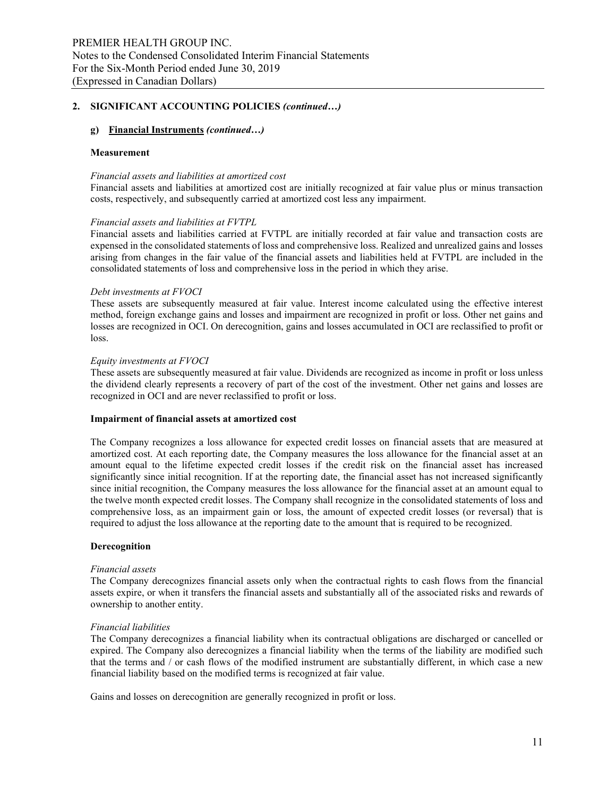#### g) Financial Instruments (continued…)

#### Measurement

#### Financial assets and liabilities at amortized cost

Financial assets and liabilities at amortized cost are initially recognized at fair value plus or minus transaction costs, respectively, and subsequently carried at amortized cost less any impairment.

#### Financial assets and liabilities at FVTPL

Financial assets and liabilities carried at FVTPL are initially recorded at fair value and transaction costs are expensed in the consolidated statements of loss and comprehensive loss. Realized and unrealized gains and losses arising from changes in the fair value of the financial assets and liabilities held at FVTPL are included in the consolidated statements of loss and comprehensive loss in the period in which they arise.

#### Debt investments at FVOCI

These assets are subsequently measured at fair value. Interest income calculated using the effective interest method, foreign exchange gains and losses and impairment are recognized in profit or loss. Other net gains and losses are recognized in OCI. On derecognition, gains and losses accumulated in OCI are reclassified to profit or loss.

#### Equity investments at FVOCI

These assets are subsequently measured at fair value. Dividends are recognized as income in profit or loss unless the dividend clearly represents a recovery of part of the cost of the investment. Other net gains and losses are recognized in OCI and are never reclassified to profit or loss.

#### Impairment of financial assets at amortized cost

The Company recognizes a loss allowance for expected credit losses on financial assets that are measured at amortized cost. At each reporting date, the Company measures the loss allowance for the financial asset at an amount equal to the lifetime expected credit losses if the credit risk on the financial asset has increased significantly since initial recognition. If at the reporting date, the financial asset has not increased significantly since initial recognition, the Company measures the loss allowance for the financial asset at an amount equal to the twelve month expected credit losses. The Company shall recognize in the consolidated statements of loss and comprehensive loss, as an impairment gain or loss, the amount of expected credit losses (or reversal) that is required to adjust the loss allowance at the reporting date to the amount that is required to be recognized.

#### Derecognition

#### Financial assets

The Company derecognizes financial assets only when the contractual rights to cash flows from the financial assets expire, or when it transfers the financial assets and substantially all of the associated risks and rewards of ownership to another entity.

#### Financial liabilities

The Company derecognizes a financial liability when its contractual obligations are discharged or cancelled or expired. The Company also derecognizes a financial liability when the terms of the liability are modified such that the terms and / or cash flows of the modified instrument are substantially different, in which case a new financial liability based on the modified terms is recognized at fair value.

Gains and losses on derecognition are generally recognized in profit or loss.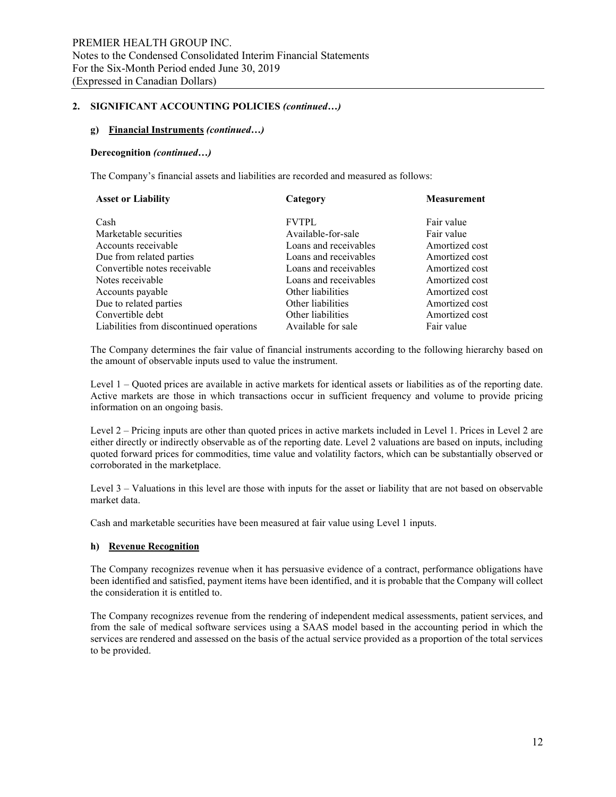#### g) Financial Instruments (continued…)

#### Derecognition (continued…)

The Company's financial assets and liabilities are recorded and measured as follows:

| <b>Asset or Liability</b>                | Category              | <b>Measurement</b> |  |  |
|------------------------------------------|-----------------------|--------------------|--|--|
| Cash                                     | <b>FVTPL</b>          | Fair value         |  |  |
| Marketable securities                    | Available-for-sale    | Fair value         |  |  |
| Accounts receivable                      | Loans and receivables | Amortized cost     |  |  |
| Due from related parties                 | Loans and receivables | Amortized cost     |  |  |
| Convertible notes receivable             | Loans and receivables | Amortized cost     |  |  |
| Notes receivable                         | Loans and receivables | Amortized cost     |  |  |
| Accounts payable                         | Other liabilities     | Amortized cost     |  |  |
| Due to related parties                   | Other liabilities     | Amortized cost     |  |  |
| Convertible debt                         | Other liabilities     | Amortized cost     |  |  |
| Liabilities from discontinued operations | Available for sale    | Fair value         |  |  |

The Company determines the fair value of financial instruments according to the following hierarchy based on the amount of observable inputs used to value the instrument.

Level 1 – Quoted prices are available in active markets for identical assets or liabilities as of the reporting date. Active markets are those in which transactions occur in sufficient frequency and volume to provide pricing information on an ongoing basis.

Level 2 – Pricing inputs are other than quoted prices in active markets included in Level 1. Prices in Level 2 are either directly or indirectly observable as of the reporting date. Level 2 valuations are based on inputs, including quoted forward prices for commodities, time value and volatility factors, which can be substantially observed or corroborated in the marketplace.

Level 3 – Valuations in this level are those with inputs for the asset or liability that are not based on observable market data.

Cash and marketable securities have been measured at fair value using Level 1 inputs.

## h) Revenue Recognition

The Company recognizes revenue when it has persuasive evidence of a contract, performance obligations have been identified and satisfied, payment items have been identified, and it is probable that the Company will collect the consideration it is entitled to.

The Company recognizes revenue from the rendering of independent medical assessments, patient services, and from the sale of medical software services using a SAAS model based in the accounting period in which the services are rendered and assessed on the basis of the actual service provided as a proportion of the total services to be provided.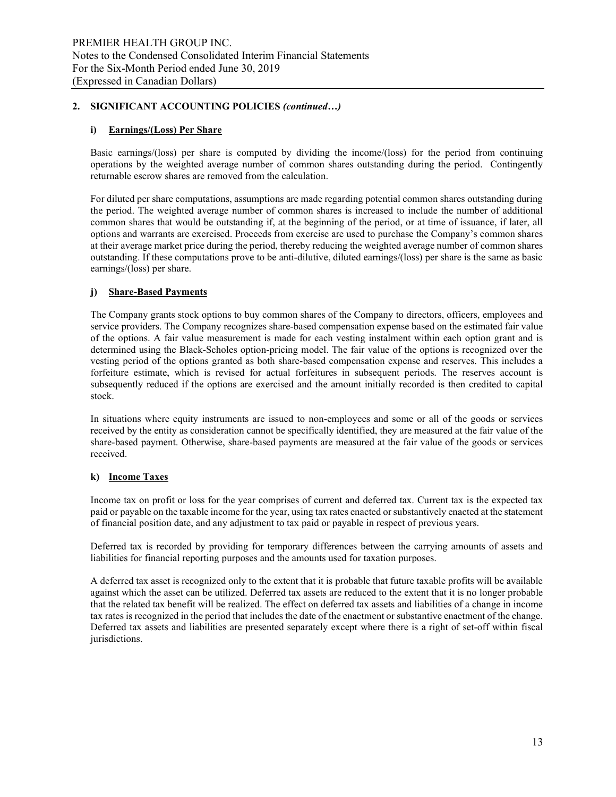## i) Earnings/(Loss) Per Share

Basic earnings/(loss) per share is computed by dividing the income/(loss) for the period from continuing operations by the weighted average number of common shares outstanding during the period. Contingently returnable escrow shares are removed from the calculation.

For diluted per share computations, assumptions are made regarding potential common shares outstanding during the period. The weighted average number of common shares is increased to include the number of additional common shares that would be outstanding if, at the beginning of the period, or at time of issuance, if later, all options and warrants are exercised. Proceeds from exercise are used to purchase the Company's common shares at their average market price during the period, thereby reducing the weighted average number of common shares outstanding. If these computations prove to be anti-dilutive, diluted earnings/(loss) per share is the same as basic earnings/(loss) per share.

## j) Share-Based Payments

The Company grants stock options to buy common shares of the Company to directors, officers, employees and service providers. The Company recognizes share-based compensation expense based on the estimated fair value of the options. A fair value measurement is made for each vesting instalment within each option grant and is determined using the Black-Scholes option-pricing model. The fair value of the options is recognized over the vesting period of the options granted as both share-based compensation expense and reserves. This includes a forfeiture estimate, which is revised for actual forfeitures in subsequent periods. The reserves account is subsequently reduced if the options are exercised and the amount initially recorded is then credited to capital stock.

In situations where equity instruments are issued to non-employees and some or all of the goods or services received by the entity as consideration cannot be specifically identified, they are measured at the fair value of the share-based payment. Otherwise, share-based payments are measured at the fair value of the goods or services received.

## k) Income Taxes

Income tax on profit or loss for the year comprises of current and deferred tax. Current tax is the expected tax paid or payable on the taxable income for the year, using tax rates enacted or substantively enacted at the statement of financial position date, and any adjustment to tax paid or payable in respect of previous years.

Deferred tax is recorded by providing for temporary differences between the carrying amounts of assets and liabilities for financial reporting purposes and the amounts used for taxation purposes.

A deferred tax asset is recognized only to the extent that it is probable that future taxable profits will be available against which the asset can be utilized. Deferred tax assets are reduced to the extent that it is no longer probable that the related tax benefit will be realized. The effect on deferred tax assets and liabilities of a change in income tax rates is recognized in the period that includes the date of the enactment or substantive enactment of the change. Deferred tax assets and liabilities are presented separately except where there is a right of set-off within fiscal jurisdictions.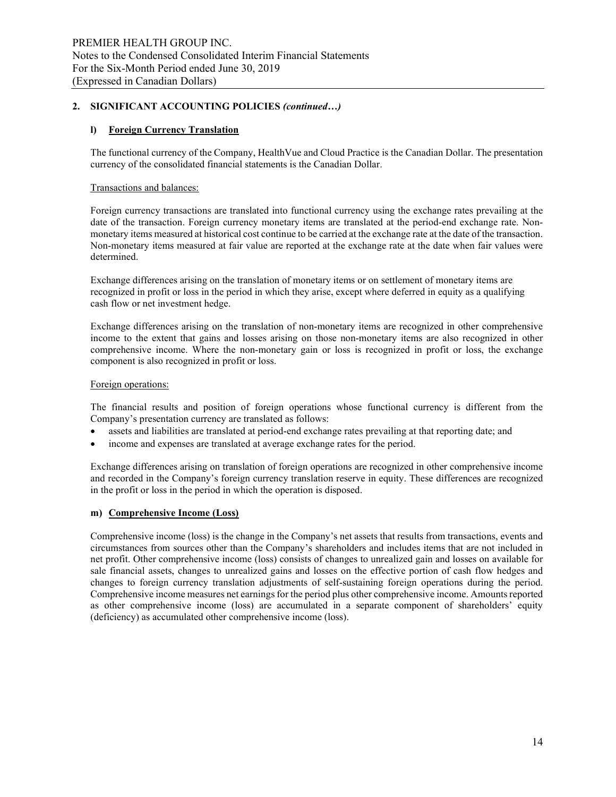## l) Foreign Currency Translation

The functional currency of the Company, HealthVue and Cloud Practice is the Canadian Dollar. The presentation currency of the consolidated financial statements is the Canadian Dollar.

## Transactions and balances:

Foreign currency transactions are translated into functional currency using the exchange rates prevailing at the date of the transaction. Foreign currency monetary items are translated at the period-end exchange rate. Nonmonetary items measured at historical cost continue to be carried at the exchange rate at the date of the transaction. Non-monetary items measured at fair value are reported at the exchange rate at the date when fair values were determined.

Exchange differences arising on the translation of monetary items or on settlement of monetary items are recognized in profit or loss in the period in which they arise, except where deferred in equity as a qualifying cash flow or net investment hedge.

Exchange differences arising on the translation of non-monetary items are recognized in other comprehensive income to the extent that gains and losses arising on those non-monetary items are also recognized in other comprehensive income. Where the non-monetary gain or loss is recognized in profit or loss, the exchange component is also recognized in profit or loss.

## Foreign operations:

The financial results and position of foreign operations whose functional currency is different from the Company's presentation currency are translated as follows:

- assets and liabilities are translated at period-end exchange rates prevailing at that reporting date; and
- income and expenses are translated at average exchange rates for the period.

Exchange differences arising on translation of foreign operations are recognized in other comprehensive income and recorded in the Company's foreign currency translation reserve in equity. These differences are recognized in the profit or loss in the period in which the operation is disposed.

## m) Comprehensive Income (Loss)

Comprehensive income (loss) is the change in the Company's net assets that results from transactions, events and circumstances from sources other than the Company's shareholders and includes items that are not included in net profit. Other comprehensive income (loss) consists of changes to unrealized gain and losses on available for sale financial assets, changes to unrealized gains and losses on the effective portion of cash flow hedges and changes to foreign currency translation adjustments of self-sustaining foreign operations during the period. Comprehensive income measures net earnings for the period plus other comprehensive income. Amounts reported as other comprehensive income (loss) are accumulated in a separate component of shareholders' equity (deficiency) as accumulated other comprehensive income (loss).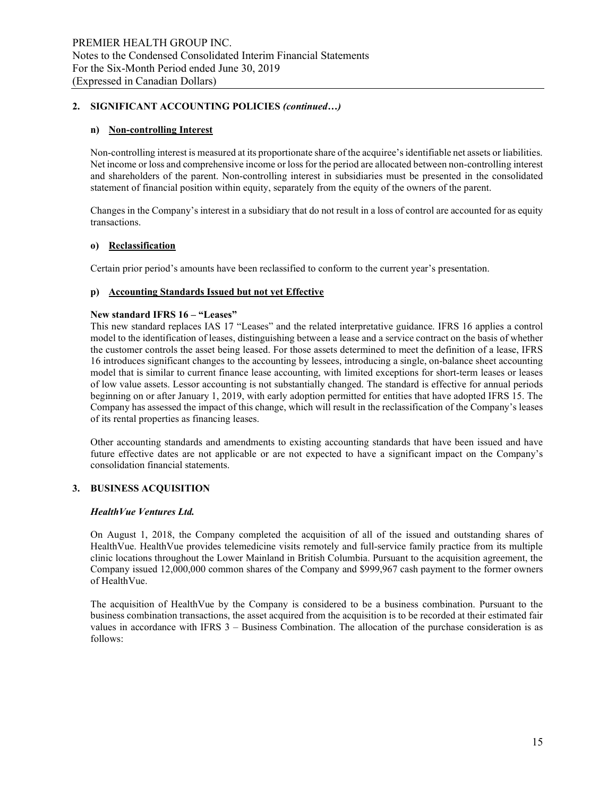## n) Non-controlling Interest

Non-controlling interest is measured at its proportionate share of the acquiree's identifiable net assets or liabilities. Net income or loss and comprehensive income or loss for the period are allocated between non-controlling interest and shareholders of the parent. Non-controlling interest in subsidiaries must be presented in the consolidated statement of financial position within equity, separately from the equity of the owners of the parent.

Changes in the Company's interest in a subsidiary that do not result in a loss of control are accounted for as equity transactions.

## o) Reclassification

Certain prior period's amounts have been reclassified to conform to the current year's presentation.

## p) Accounting Standards Issued but not yet Effective

## New standard IFRS 16 – "Leases"

This new standard replaces IAS 17 "Leases" and the related interpretative guidance. IFRS 16 applies a control model to the identification of leases, distinguishing between a lease and a service contract on the basis of whether the customer controls the asset being leased. For those assets determined to meet the definition of a lease, IFRS 16 introduces significant changes to the accounting by lessees, introducing a single, on-balance sheet accounting model that is similar to current finance lease accounting, with limited exceptions for short-term leases or leases of low value assets. Lessor accounting is not substantially changed. The standard is effective for annual periods beginning on or after January 1, 2019, with early adoption permitted for entities that have adopted IFRS 15. The Company has assessed the impact of this change, which will result in the reclassification of the Company's leases of its rental properties as financing leases.

Other accounting standards and amendments to existing accounting standards that have been issued and have future effective dates are not applicable or are not expected to have a significant impact on the Company's consolidation financial statements.

## 3. BUSINESS ACQUISITION

## HealthVue Ventures Ltd.

On August 1, 2018, the Company completed the acquisition of all of the issued and outstanding shares of HealthVue. HealthVue provides telemedicine visits remotely and full-service family practice from its multiple clinic locations throughout the Lower Mainland in British Columbia. Pursuant to the acquisition agreement, the Company issued 12,000,000 common shares of the Company and \$999,967 cash payment to the former owners of HealthVue.

The acquisition of HealthVue by the Company is considered to be a business combination. Pursuant to the business combination transactions, the asset acquired from the acquisition is to be recorded at their estimated fair values in accordance with IFRS 3 – Business Combination. The allocation of the purchase consideration is as follows: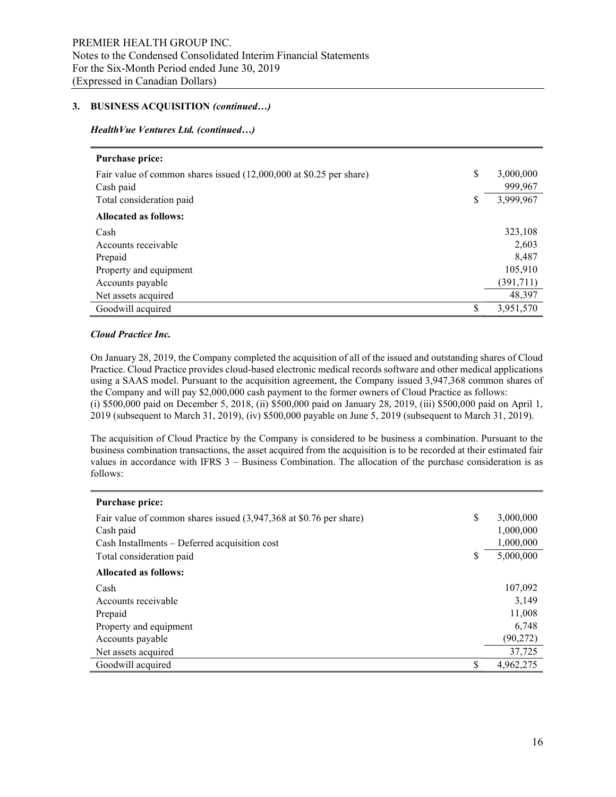## 3. BUSINESS ACQUISITION (continued…)

#### HealthVue Ventures Ltd. (continued…)

| <b>Purchase price:</b>                                              |                 |
|---------------------------------------------------------------------|-----------------|
| Fair value of common shares issued (12,000,000 at \$0.25 per share) | \$<br>3,000,000 |
| Cash paid                                                           | 999,967         |
| Total consideration paid                                            | \$<br>3,999,967 |
| <b>Allocated as follows:</b>                                        |                 |
| Cash                                                                | 323,108         |
| Accounts receivable                                                 | 2,603           |
| Prepaid                                                             | 8.487           |
| Property and equipment                                              | 105,910         |
| Accounts payable                                                    | (391, 711)      |
| Net assets acquired                                                 | 48,397          |
| Goodwill acquired                                                   | \$<br>3,951,570 |

#### Cloud Practice Inc.

On January 28, 2019, the Company completed the acquisition of all of the issued and outstanding shares of Cloud Practice. Cloud Practice provides cloud-based electronic medical records software and other medical applications using a SAAS model. Pursuant to the acquisition agreement, the Company issued 3,947,368 common shares of the Company and will pay \$2,000,000 cash payment to the former owners of Cloud Practice as follows: (i) \$500,000 paid on December 5, 2018, (ii) \$500,000 paid on January 28, 2019, (iii) \$500,000 paid on April 1, 2019 (subsequent to March 31, 2019), (iv) \$500,000 payable on June 5, 2019 (subsequent to March 31, 2019).

The acquisition of Cloud Practice by the Company is considered to be business a combination. Pursuant to the business combination transactions, the asset acquired from the acquisition is to be recorded at their estimated fair values in accordance with IFRS 3 – Business Combination. The allocation of the purchase consideration is as follows:

| <b>Purchase price:</b>                                             |                 |
|--------------------------------------------------------------------|-----------------|
| Fair value of common shares issued (3,947,368 at \$0.76 per share) | \$<br>3,000,000 |
| Cash paid                                                          | 1,000,000       |
| Cash Installments – Deferred acquisition cost                      | 1,000,000       |
| Total consideration paid                                           | \$<br>5,000,000 |
| <b>Allocated as follows:</b>                                       |                 |
| Cash                                                               | 107,092         |
| Accounts receivable                                                | 3.149           |
| Prepaid                                                            | 11,008          |
| Property and equipment                                             | 6,748           |
| Accounts payable                                                   | (90, 272)       |
| Net assets acquired                                                | 37,725          |
| Goodwill acquired                                                  | \$<br>4,962,275 |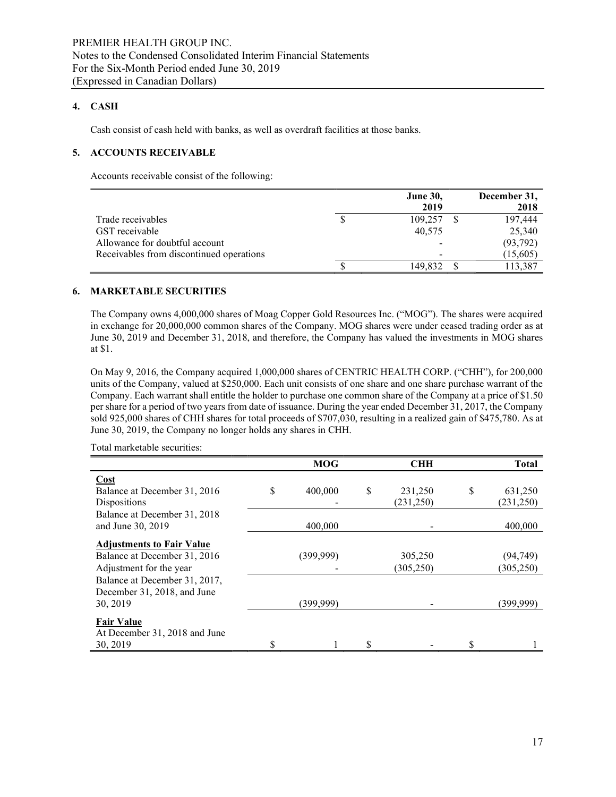## 4. CASH

Cash consist of cash held with banks, as well as overdraft facilities at those banks.

# 5. ACCOUNTS RECEIVABLE

Accounts receivable consist of the following:

|                                          | <b>June 30,</b> | December 31, |
|------------------------------------------|-----------------|--------------|
|                                          | 2019            | 2018         |
| Trade receivables                        | 109,257         | 197,444      |
| GST receivable                           | 40,575          | 25,340       |
| Allowance for doubtful account           |                 | (93, 792)    |
| Receivables from discontinued operations |                 | (15,605)     |
|                                          | 149,832         | 113,387      |

# 6. MARKETABLE SECURITIES

The Company owns 4,000,000 shares of Moag Copper Gold Resources Inc. ("MOG"). The shares were acquired in exchange for 20,000,000 common shares of the Company. MOG shares were under ceased trading order as at June 30, 2019 and December 31, 2018, and therefore, the Company has valued the investments in MOG shares at \$1.

On May 9, 2016, the Company acquired 1,000,000 shares of CENTRIC HEALTH CORP. ("CHH"), for 200,000 units of the Company, valued at \$250,000. Each unit consists of one share and one share purchase warrant of the Company. Each warrant shall entitle the holder to purchase one common share of the Company at a price of \$1.50 per share for a period of two years from date of issuance. During the year ended December 31, 2017, the Company sold 925,000 shares of CHH shares for total proceeds of \$707,030, resulting in a realized gain of \$475,780. As at June 30, 2019, the Company no longer holds any shares in CHH.

Total marketable securities:

|                                  |   | <b>MOG</b> | <b>CHH</b>    |   | <b>Total</b> |
|----------------------------------|---|------------|---------------|---|--------------|
| Cost                             |   |            |               |   |              |
| Balance at December 31, 2016     | S | 400,000    | \$<br>231,250 | S | 631,250      |
| Dispositions                     |   |            | (231, 250)    |   | (231, 250)   |
| Balance at December 31, 2018     |   |            |               |   |              |
| and June 30, 2019                |   | 400,000    |               |   | 400,000      |
| <b>Adjustments to Fair Value</b> |   |            |               |   |              |
| Balance at December 31, 2016     |   | (399, 999) | 305,250       |   | (94, 749)    |
| Adjustment for the year          |   |            | (305, 250)    |   | (305, 250)   |
| Balance at December 31, 2017,    |   |            |               |   |              |
| December 31, 2018, and June      |   |            |               |   |              |
| 30, 2019                         |   | (399,999)  |               |   | (399, 999)   |
| <b>Fair Value</b>                |   |            |               |   |              |
| At December 31, 2018 and June    |   |            |               |   |              |
| 30, 2019                         |   |            | \$            |   |              |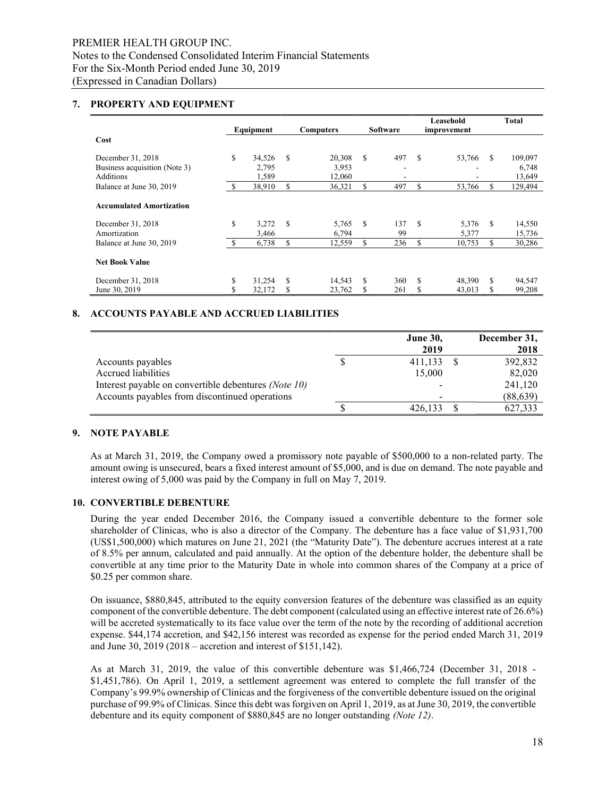## 7. PROPERTY AND EQUIPMENT

|                                 |    |           |    |                  |    |                 |     | Leasehold   |    | Total   |
|---------------------------------|----|-----------|----|------------------|----|-----------------|-----|-------------|----|---------|
|                                 |    | Equipment |    | <b>Computers</b> |    | <b>Software</b> |     | improvement |    |         |
| Cost                            |    |           |    |                  |    |                 |     |             |    |         |
| December 31, 2018               | \$ | 34,526    | S  | 20,308           | S  | 497             | S   | 53,766      | S  | 109,097 |
| Business acquisition (Note 3)   |    | 2,795     |    | 3,953            |    | -               |     |             |    | 6,748   |
| Additions                       |    | 1,589     |    | 12.060           |    | -               |     |             |    | 13,649  |
| Balance at June 30, 2019        | 'N | 38,910    | S  | 36,321           | S. | 497             | \$  | 53,766      | \$ | 129,494 |
| <b>Accumulated Amortization</b> |    |           |    |                  |    |                 |     |             |    |         |
| December 31, 2018               | \$ | 3,272     | S  | 5,765            | S  | 137             | \$. | 5,376       | S  | 14,550  |
| Amortization                    |    | 3,466     |    | 6,794            |    | 99              |     | 5,377       |    | 15,736  |
| Balance at June 30, 2019        |    | 6,738     | S  | 12,559           | S  | 236             | S   | 10,753      | \$ | 30,286  |
| <b>Net Book Value</b>           |    |           |    |                  |    |                 |     |             |    |         |
| December 31, 2018               | \$ | 31,254    | S  | 14,543           | \$ | 360             | \$  | 48,390      | \$ | 94,547  |
| June 30, 2019                   | \$ | 32,172    | \$ | 23,762           | \$ | 261             | \$  | 43,013      | S  | 99,208  |

## 8. ACCOUNTS PAYABLE AND ACCRUED LIABILITIES

|                                                             | <b>June 30,</b> | December 31, |
|-------------------------------------------------------------|-----------------|--------------|
|                                                             | 2019            | 2018         |
| Accounts payables                                           | 411,133         | 392,832      |
| Accrued liabilities                                         | 15,000          | 82,020       |
| Interest payable on convertible debentures <i>(Note 10)</i> |                 | 241,120      |
| Accounts payables from discontinued operations              |                 | (88, 639)    |
|                                                             | 426,133         | 627,333      |

## 9. NOTE PAYABLE

As at March 31, 2019, the Company owed a promissory note payable of \$500,000 to a non-related party. The amount owing is unsecured, bears a fixed interest amount of \$5,000, and is due on demand. The note payable and interest owing of 5,000 was paid by the Company in full on May 7, 2019.

#### 10. CONVERTIBLE DEBENTURE

During the year ended December 2016, the Company issued a convertible debenture to the former sole shareholder of Clinicas, who is also a director of the Company. The debenture has a face value of \$1,931,700 (US\$1,500,000) which matures on June 21, 2021 (the "Maturity Date"). The debenture accrues interest at a rate of 8.5% per annum, calculated and paid annually. At the option of the debenture holder, the debenture shall be convertible at any time prior to the Maturity Date in whole into common shares of the Company at a price of \$0.25 per common share.

On issuance, \$880,845, attributed to the equity conversion features of the debenture was classified as an equity component of the convertible debenture. The debt component (calculated using an effective interest rate of 26.6%) will be accreted systematically to its face value over the term of the note by the recording of additional accretion expense. \$44,174 accretion, and \$42,156 interest was recorded as expense for the period ended March 31, 2019 and June 30, 2019 (2018 – accretion and interest of \$151,142).

As at March 31, 2019, the value of this convertible debenture was \$1,466,724 (December 31, 2018 - \$1,451,786). On April 1, 2019, a settlement agreement was entered to complete the full transfer of the Company's 99.9% ownership of Clinicas and the forgiveness of the convertible debenture issued on the original purchase of 99.9% of Clinicas. Since this debt was forgiven on April 1, 2019, as at June 30, 2019, the convertible debenture and its equity component of \$880,845 are no longer outstanding *(Note 12)*.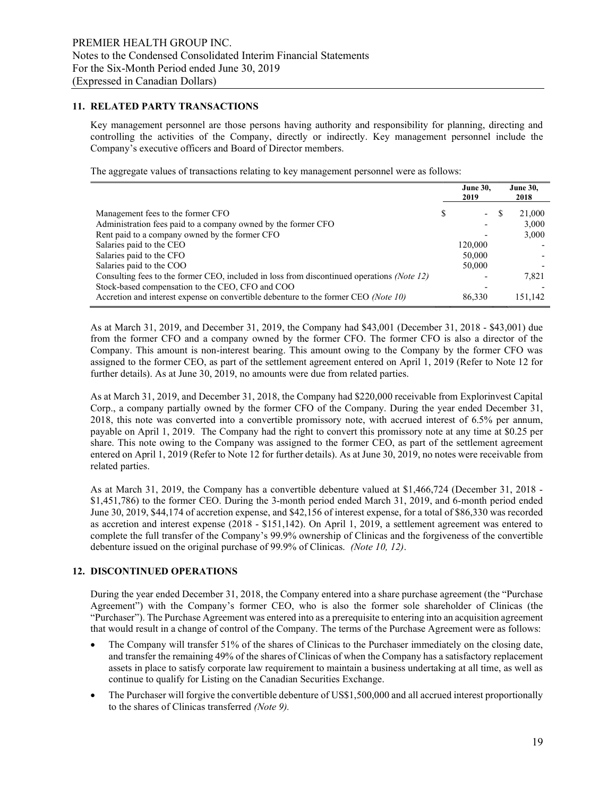#### 11. RELATED PARTY TRANSACTIONS

Key management personnel are those persons having authority and responsibility for planning, directing and controlling the activities of the Company, directly or indirectly. Key management personnel include the Company's executive officers and Board of Director members.

The aggregate values of transactions relating to key management personnel were as follows:

|                                                                                            | <b>June 30,</b><br>2019        | <b>June 30,</b><br>2018 |
|--------------------------------------------------------------------------------------------|--------------------------------|-------------------------|
| Management fees to the former CFO                                                          | \$<br>$\overline{\phantom{0}}$ | 21,000                  |
| Administration fees paid to a company owned by the former CFO                              | $\overline{\phantom{a}}$       | 3,000                   |
| Rent paid to a company owned by the former CFO                                             |                                | 3,000                   |
| Salaries paid to the CEO                                                                   | 120,000                        |                         |
| Salaries paid to the CFO                                                                   | 50,000                         |                         |
| Salaries paid to the COO                                                                   | 50,000                         |                         |
| Consulting fees to the former CEO, included in loss from discontinued operations (Note 12) |                                | 7,821                   |
| Stock-based compensation to the CEO, CFO and COO                                           |                                |                         |
| Accretion and interest expense on convertible debenture to the former CEO (Note 10)        | 86,330                         | 151.142                 |

As at March 31, 2019, and December 31, 2019, the Company had \$43,001 (December 31, 2018 - \$43,001) due from the former CFO and a company owned by the former CFO. The former CFO is also a director of the Company. This amount is non-interest bearing. This amount owing to the Company by the former CFO was assigned to the former CEO, as part of the settlement agreement entered on April 1, 2019 (Refer to Note 12 for further details). As at June 30, 2019, no amounts were due from related parties.

As at March 31, 2019, and December 31, 2018, the Company had \$220,000 receivable from Explorinvest Capital Corp., a company partially owned by the former CFO of the Company. During the year ended December 31, 2018, this note was converted into a convertible promissory note, with accrued interest of 6.5% per annum, payable on April 1, 2019. The Company had the right to convert this promissory note at any time at \$0.25 per share. This note owing to the Company was assigned to the former CEO, as part of the settlement agreement entered on April 1, 2019 (Refer to Note 12 for further details). As at June 30, 2019, no notes were receivable from related parties.

As at March 31, 2019, the Company has a convertible debenture valued at \$1,466,724 (December 31, 2018 - \$1,451,786) to the former CEO. During the 3-month period ended March 31, 2019, and 6-month period ended June 30, 2019, \$44,174 of accretion expense, and \$42,156 of interest expense, for a total of \$86,330 was recorded as accretion and interest expense (2018 - \$151,142). On April 1, 2019, a settlement agreement was entered to complete the full transfer of the Company's 99.9% ownership of Clinicas and the forgiveness of the convertible debenture issued on the original purchase of 99.9% of Clinicas. (Note 10, 12).

## 12. DISCONTINUED OPERATIONS

During the year ended December 31, 2018, the Company entered into a share purchase agreement (the "Purchase Agreement") with the Company's former CEO, who is also the former sole shareholder of Clinicas (the "Purchaser"). The Purchase Agreement was entered into as a prerequisite to entering into an acquisition agreement that would result in a change of control of the Company. The terms of the Purchase Agreement were as follows:

- The Company will transfer 51% of the shares of Clinicas to the Purchaser immediately on the closing date, and transfer the remaining 49% of the shares of Clinicas of when the Company has a satisfactory replacement assets in place to satisfy corporate law requirement to maintain a business undertaking at all time, as well as continue to qualify for Listing on the Canadian Securities Exchange.
- The Purchaser will forgive the convertible debenture of US\$1,500,000 and all accrued interest proportionally to the shares of Clinicas transferred (Note 9).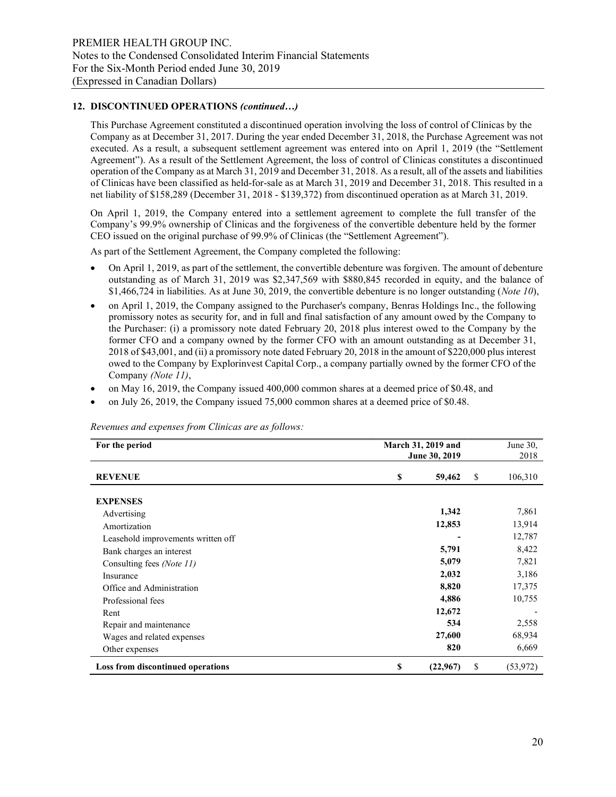#### 12. DISCONTINUED OPERATIONS (continued…)

This Purchase Agreement constituted a discontinued operation involving the loss of control of Clinicas by the Company as at December 31, 2017. During the year ended December 31, 2018, the Purchase Agreement was not executed. As a result, a subsequent settlement agreement was entered into on April 1, 2019 (the "Settlement Agreement"). As a result of the Settlement Agreement, the loss of control of Clinicas constitutes a discontinued operation of the Company as at March 31, 2019 and December 31, 2018. As a result, all of the assets and liabilities of Clinicas have been classified as held-for-sale as at March 31, 2019 and December 31, 2018. This resulted in a net liability of \$158,289 (December 31, 2018 - \$139,372) from discontinued operation as at March 31, 2019.

On April 1, 2019, the Company entered into a settlement agreement to complete the full transfer of the Company's 99.9% ownership of Clinicas and the forgiveness of the convertible debenture held by the former CEO issued on the original purchase of 99.9% of Clinicas (the "Settlement Agreement").

As part of the Settlement Agreement, the Company completed the following:

- On April 1, 2019, as part of the settlement, the convertible debenture was forgiven. The amount of debenture outstanding as of March 31, 2019 was \$2,347,569 with \$880,845 recorded in equity, and the balance of \$1,466,724 in liabilities. As at June 30, 2019, the convertible debenture is no longer outstanding (*Note 10*),
- on April 1, 2019, the Company assigned to the Purchaser's company, Benras Holdings Inc., the following promissory notes as security for, and in full and final satisfaction of any amount owed by the Company to the Purchaser: (i) a promissory note dated February 20, 2018 plus interest owed to the Company by the former CFO and a company owned by the former CFO with an amount outstanding as at December 31, 2018 of \$43,001, and (ii) a promissory note dated February 20, 2018 in the amount of \$220,000 plus interest owed to the Company by Explorinvest Capital Corp., a company partially owned by the former CFO of the Company (Note 11),
- on May 16, 2019, the Company issued 400,000 common shares at a deemed price of \$0.48, and
- on July 26, 2019, the Company issued 75,000 common shares at a deemed price of \$0.48.

| For the period                           | March 31, 2019 and<br>June 30, 2019 |    |           |  |
|------------------------------------------|-------------------------------------|----|-----------|--|
| <b>REVENUE</b>                           | \$<br>59,462                        | \$ | 106,310   |  |
| <b>EXPENSES</b>                          |                                     |    |           |  |
| Advertising                              | 1,342                               |    | 7,861     |  |
| Amortization                             | 12,853                              |    | 13,914    |  |
| Leasehold improvements written off       |                                     |    | 12,787    |  |
|                                          | 5,791                               |    | 8,422     |  |
| Bank charges an interest                 | 5,079                               |    | 7,821     |  |
| Consulting fees (Note 11)                | 2,032                               |    | 3,186     |  |
| Insurance                                | 8,820                               |    | 17,375    |  |
| Office and Administration                | 4,886                               |    |           |  |
| Professional fees                        |                                     |    | 10,755    |  |
| Rent                                     | 12,672                              |    |           |  |
| Repair and maintenance                   | 534                                 |    | 2,558     |  |
| Wages and related expenses               | 27,600                              |    | 68,934    |  |
| Other expenses                           | 820                                 |    | 6,669     |  |
| <b>Loss from discontinued operations</b> | \$<br>(22,967)                      | \$ | (53, 972) |  |

Revenues and expenses from Clinicas are as follows: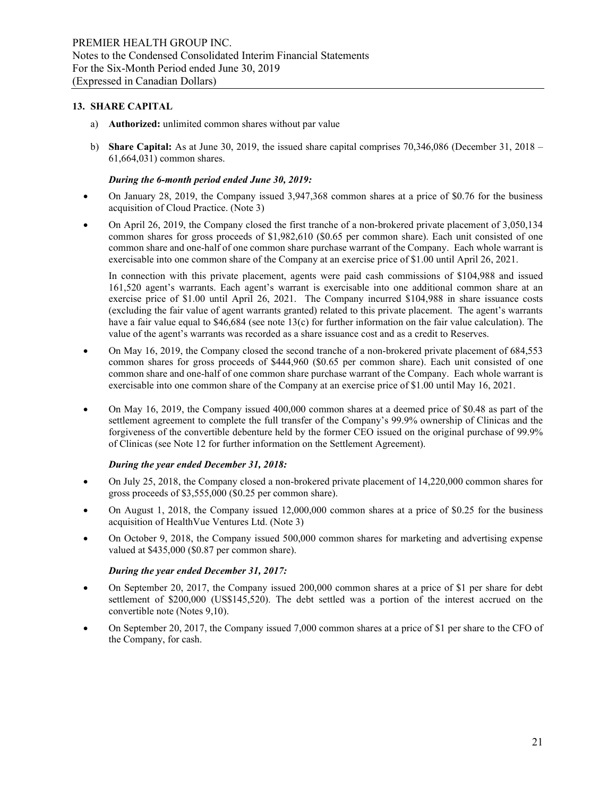## 13. SHARE CAPITAL

- a) Authorized: unlimited common shares without par value
- b) Share Capital: As at June 30, 2019, the issued share capital comprises 70,346,086 (December 31, 2018 61,664,031) common shares.

## During the 6-month period ended June 30, 2019:

- On January 28, 2019, the Company issued 3,947,368 common shares at a price of \$0.76 for the business acquisition of Cloud Practice. (Note 3)
- On April 26, 2019, the Company closed the first tranche of a non-brokered private placement of 3,050,134 common shares for gross proceeds of \$1,982,610 (\$0.65 per common share). Each unit consisted of one common share and one-half of one common share purchase warrant of the Company. Each whole warrant is exercisable into one common share of the Company at an exercise price of \$1.00 until April 26, 2021.

In connection with this private placement, agents were paid cash commissions of \$104,988 and issued 161,520 agent's warrants. Each agent's warrant is exercisable into one additional common share at an exercise price of \$1.00 until April 26, 2021. The Company incurred \$104,988 in share issuance costs (excluding the fair value of agent warrants granted) related to this private placement. The agent's warrants have a fair value equal to  $$46,684$  (see note 13(c) for further information on the fair value calculation). The value of the agent's warrants was recorded as a share issuance cost and as a credit to Reserves.

- On May 16, 2019, the Company closed the second tranche of a non-brokered private placement of 684,553 common shares for gross proceeds of \$444,960 (\$0.65 per common share). Each unit consisted of one common share and one-half of one common share purchase warrant of the Company. Each whole warrant is exercisable into one common share of the Company at an exercise price of \$1.00 until May 16, 2021.
- On May 16, 2019, the Company issued 400,000 common shares at a deemed price of \$0.48 as part of the settlement agreement to complete the full transfer of the Company's 99.9% ownership of Clinicas and the forgiveness of the convertible debenture held by the former CEO issued on the original purchase of 99.9% of Clinicas (see Note 12 for further information on the Settlement Agreement).

## During the year ended December 31, 2018:

- On July 25, 2018, the Company closed a non-brokered private placement of 14,220,000 common shares for gross proceeds of \$3,555,000 (\$0.25 per common share).
- On August 1, 2018, the Company issued 12,000,000 common shares at a price of \$0.25 for the business acquisition of HealthVue Ventures Ltd. (Note 3)
- On October 9, 2018, the Company issued 500,000 common shares for marketing and advertising expense valued at \$435,000 (\$0.87 per common share).

## During the year ended December 31, 2017:

- On September 20, 2017, the Company issued 200,000 common shares at a price of \$1 per share for debt settlement of \$200,000 (US\$145,520). The debt settled was a portion of the interest accrued on the convertible note (Notes 9,10).
- On September 20, 2017, the Company issued 7,000 common shares at a price of \$1 per share to the CFO of the Company, for cash.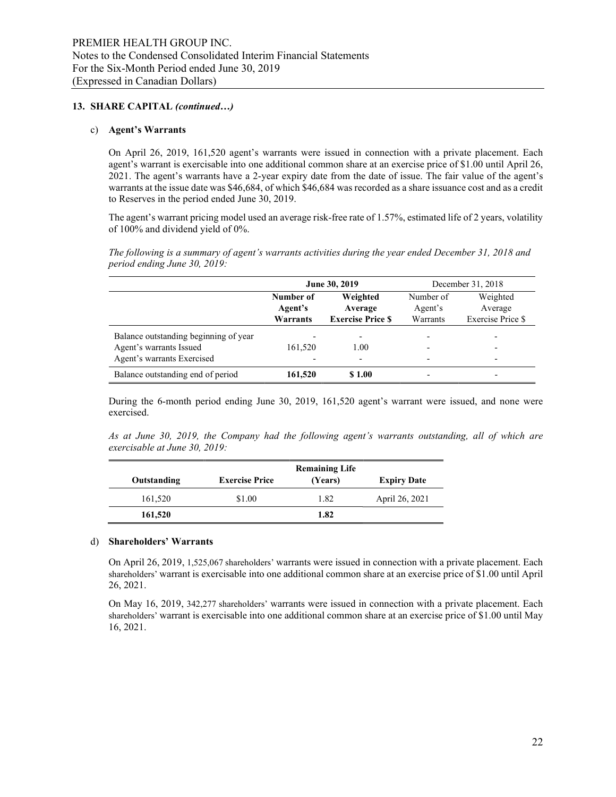#### c) Agent's Warrants

On April 26, 2019, 161,520 agent's warrants were issued in connection with a private placement. Each agent's warrant is exercisable into one additional common share at an exercise price of \$1.00 until April 26, 2021. The agent's warrants have a 2-year expiry date from the date of issue. The fair value of the agent's warrants at the issue date was \$46,684, of which \$46,684 was recorded as a share issuance cost and as a credit to Reserves in the period ended June 30, 2019.

The agent's warrant pricing model used an average risk-free rate of 1.57%, estimated life of 2 years, volatility of 100% and dividend yield of 0%.

The following is a summary of agent's warrants activities during the year ended December 31, 2018 and period ending June 30, 2019:

|                                       |                       | June 30, 2019            | December 31, 2018 |                          |  |
|---------------------------------------|-----------------------|--------------------------|-------------------|--------------------------|--|
|                                       | Weighted<br>Number of |                          | Number of         | Weighted                 |  |
|                                       | Agent's               | Average                  | Agent's           | Average                  |  |
|                                       | Warrants              | <b>Exercise Price S</b>  | Warrants          | <b>Exercise Price \$</b> |  |
| Balance outstanding beginning of year |                       | $\overline{\phantom{a}}$ |                   |                          |  |
| Agent's warrants Issued               | 161,520               | 1.00                     |                   |                          |  |
| Agent's warrants Exercised            |                       | $\overline{\phantom{a}}$ |                   |                          |  |
| Balance outstanding end of period     | 161,520               | \$1.00                   |                   |                          |  |

During the 6-month period ending June 30, 2019, 161,520 agent's warrant were issued, and none were exercised.

As at June 30, 2019, the Company had the following agent's warrants outstanding, all of which are exercisable at June 30, 2019:

|             |                       | <b>Remaining Life</b> |                    |
|-------------|-----------------------|-----------------------|--------------------|
| Outstanding | <b>Exercise Price</b> | (Years)               | <b>Expiry Date</b> |
| 161,520     | \$1.00                | 1.82                  | April 26, 2021     |
| 161,520     |                       | 1.82                  |                    |

#### d) Shareholders' Warrants

On April 26, 2019, 1,525,067 shareholders' warrants were issued in connection with a private placement. Each shareholders' warrant is exercisable into one additional common share at an exercise price of \$1.00 until April 26, 2021.

On May 16, 2019, 342,277 shareholders' warrants were issued in connection with a private placement. Each shareholders' warrant is exercisable into one additional common share at an exercise price of \$1.00 until May 16, 2021.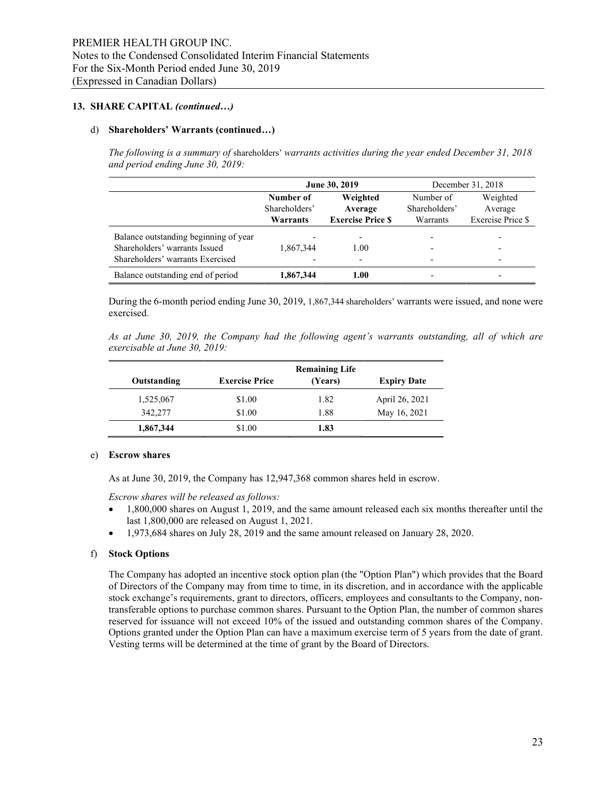#### d) Shareholders' Warrants (continued…)

The following is a summary of shareholders' warrants activities during the year ended December 31, 2018 and period ending June 30, 2019:

|                                       |                       | June 30, 2019            | December 31, 2018 |                          |  |
|---------------------------------------|-----------------------|--------------------------|-------------------|--------------------------|--|
|                                       | Weighted<br>Number of |                          | Number of         | Weighted                 |  |
|                                       | Shareholders'         | Average                  | Shareholders'     | Average                  |  |
|                                       | Warrants              | <b>Exercise Price S</b>  | Warrants          | Exercise Price \$        |  |
| Balance outstanding beginning of year |                       | $\overline{\phantom{0}}$ | ۰                 | $\overline{\phantom{a}}$ |  |
| Shareholders' warrants Issued         | 1,867,344             | 1.00                     | ۰                 | $\overline{\phantom{a}}$ |  |
| Shareholders' warrants Exercised      |                       | $\overline{\phantom{0}}$ | ۰                 | $\overline{\phantom{a}}$ |  |
| Balance outstanding end of period     | 1,867,344             | 1.00                     |                   |                          |  |

During the 6-month period ending June 30, 2019, 1,867,344 shareholders' warrants were issued, and none were exercised.

As at June 30, 2019, the Company had the following agent's warrants outstanding, all of which are exercisable at June 30, 2019:

|             |                       | <b>Remaining Life</b> |                    |
|-------------|-----------------------|-----------------------|--------------------|
| Outstanding | <b>Exercise Price</b> | (Years)               | <b>Expiry Date</b> |
| 1,525,067   | \$1.00                | 1.82                  | April 26, 2021     |
| 342,277     | \$1.00                | 1.88                  | May 16, 2021       |
| 1,867,344   | \$1.00                | 1.83                  |                    |

#### e) Escrow shares

As at June 30, 2019, the Company has 12,947,368 common shares held in escrow.

Escrow shares will be released as follows:

- 1,800,000 shares on August 1, 2019, and the same amount released each six months thereafter until the last 1,800,000 are released on August 1, 2021.
- 1,973,684 shares on July 28, 2019 and the same amount released on January 28, 2020.

#### f) Stock Options

The Company has adopted an incentive stock option plan (the "Option Plan") which provides that the Board of Directors of the Company may from time to time, in its discretion, and in accordance with the applicable stock exchange's requirements, grant to directors, officers, employees and consultants to the Company, nontransferable options to purchase common shares. Pursuant to the Option Plan, the number of common shares reserved for issuance will not exceed 10% of the issued and outstanding common shares of the Company. Options granted under the Option Plan can have a maximum exercise term of 5 years from the date of grant. Vesting terms will be determined at the time of grant by the Board of Directors.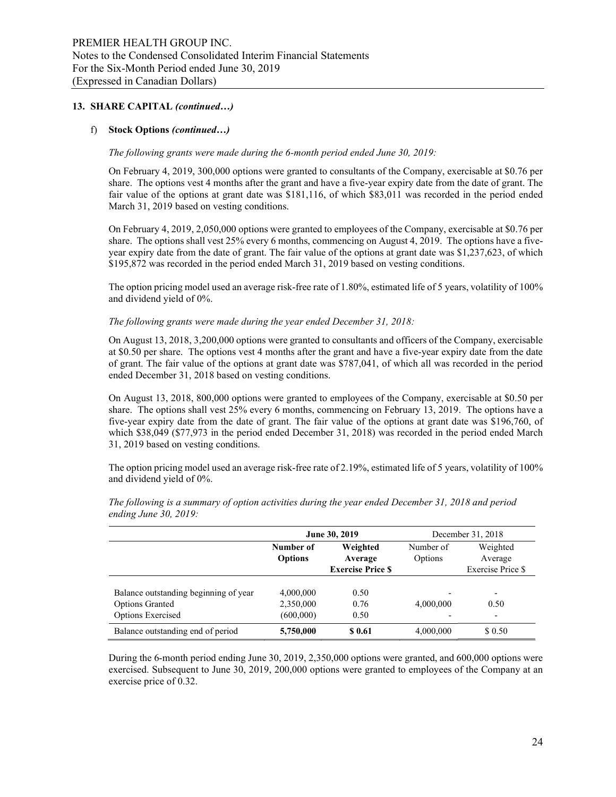#### f) Stock Options (continued…)

#### The following grants were made during the 6-month period ended June 30, 2019:

On February 4, 2019, 300,000 options were granted to consultants of the Company, exercisable at \$0.76 per share. The options vest 4 months after the grant and have a five-year expiry date from the date of grant. The fair value of the options at grant date was \$181,116, of which \$83,011 was recorded in the period ended March 31, 2019 based on vesting conditions.

On February 4, 2019, 2,050,000 options were granted to employees of the Company, exercisable at \$0.76 per share. The options shall vest 25% every 6 months, commencing on August 4, 2019. The options have a fiveyear expiry date from the date of grant. The fair value of the options at grant date was \$1,237,623, of which \$195,872 was recorded in the period ended March 31, 2019 based on vesting conditions.

The option pricing model used an average risk-free rate of 1.80%, estimated life of 5 years, volatility of 100% and dividend yield of 0%.

#### The following grants were made during the year ended December 31, 2018:

On August 13, 2018, 3,200,000 options were granted to consultants and officers of the Company, exercisable at \$0.50 per share. The options vest 4 months after the grant and have a five-year expiry date from the date of grant. The fair value of the options at grant date was \$787,041, of which all was recorded in the period ended December 31, 2018 based on vesting conditions.

On August 13, 2018, 800,000 options were granted to employees of the Company, exercisable at \$0.50 per share. The options shall vest 25% every 6 months, commencing on February 13, 2019. The options have a five-year expiry date from the date of grant. The fair value of the options at grant date was \$196,760, of which \$38,049 (\$77,973 in the period ended December 31, 2018) was recorded in the period ended March 31, 2019 based on vesting conditions.

The option pricing model used an average risk-free rate of 2.19%, estimated life of 5 years, volatility of 100% and dividend yield of 0%.

|                                       |                                                    | June 30, 2019           | December 31, 2018 |                          |  |
|---------------------------------------|----------------------------------------------------|-------------------------|-------------------|--------------------------|--|
|                                       | Weighted<br>Number of<br><b>Options</b><br>Average |                         | Number of         |                          |  |
|                                       |                                                    |                         | Options           | Average                  |  |
|                                       |                                                    | <b>Exercise Price S</b> |                   | Exercise Price \$        |  |
|                                       |                                                    |                         |                   |                          |  |
| Balance outstanding beginning of year | 4,000,000                                          | 0.50                    |                   | $\overline{\phantom{a}}$ |  |
| <b>Options Granted</b>                | 2,350,000                                          | 0.76                    | 4,000,000         | 0.50                     |  |
| <b>Options Exercised</b>              | (600,000)                                          | 0.50                    |                   | $\overline{\phantom{a}}$ |  |
| Balance outstanding end of period     | 5,750,000                                          | \$ 0.61                 | 4,000,000         | \$0.50                   |  |

The following is a summary of option activities during the year ended December 31, 2018 and period ending June 30, 2019:

During the 6-month period ending June 30, 2019, 2,350,000 options were granted, and 600,000 options were exercised. Subsequent to June 30, 2019, 200,000 options were granted to employees of the Company at an exercise price of 0.32.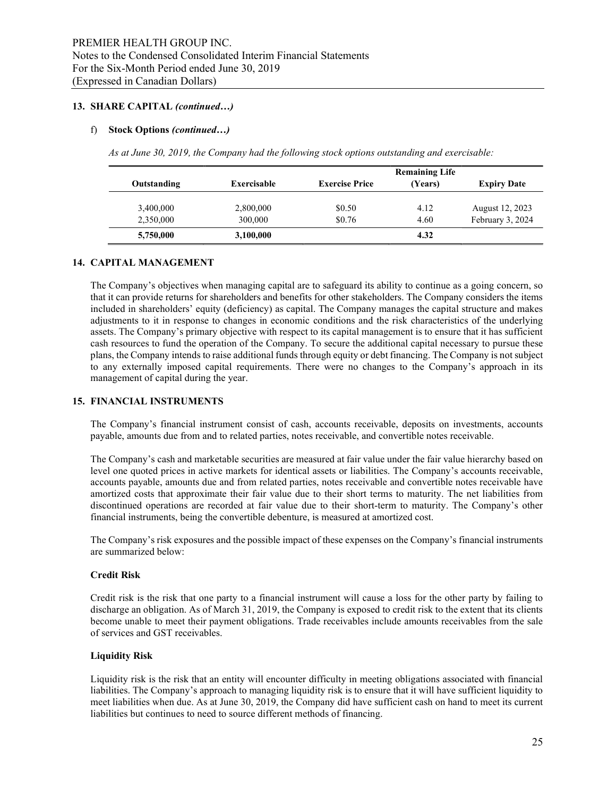#### f) Stock Options (continued…)

As at June 30, 2019, the Company had the following stock options outstanding and exercisable:

| Outstanding | Exercisable | <b>Exercise Price</b> | <b>Remaining Life</b><br>(Years) | <b>Expiry Date</b> |
|-------------|-------------|-----------------------|----------------------------------|--------------------|
|             |             |                       |                                  |                    |
| 3,400,000   | 2,800,000   | \$0.50                | 4.12                             | August 12, 2023    |
| 2,350,000   | 300,000     | \$0.76                | 4.60                             | February 3, 2024   |
| 5,750,000   | 3,100,000   |                       | 4.32                             |                    |

#### 14. CAPITAL MANAGEMENT

The Company's objectives when managing capital are to safeguard its ability to continue as a going concern, so that it can provide returns for shareholders and benefits for other stakeholders. The Company considers the items included in shareholders' equity (deficiency) as capital. The Company manages the capital structure and makes adjustments to it in response to changes in economic conditions and the risk characteristics of the underlying assets. The Company's primary objective with respect to its capital management is to ensure that it has sufficient cash resources to fund the operation of the Company. To secure the additional capital necessary to pursue these plans, the Company intends to raise additional funds through equity or debt financing. The Company is not subject to any externally imposed capital requirements. There were no changes to the Company's approach in its management of capital during the year.

#### 15. FINANCIAL INSTRUMENTS

The Company's financial instrument consist of cash, accounts receivable, deposits on investments, accounts payable, amounts due from and to related parties, notes receivable, and convertible notes receivable.

The Company's cash and marketable securities are measured at fair value under the fair value hierarchy based on level one quoted prices in active markets for identical assets or liabilities. The Company's accounts receivable, accounts payable, amounts due and from related parties, notes receivable and convertible notes receivable have amortized costs that approximate their fair value due to their short terms to maturity. The net liabilities from discontinued operations are recorded at fair value due to their short-term to maturity. The Company's other financial instruments, being the convertible debenture, is measured at amortized cost.

The Company's risk exposures and the possible impact of these expenses on the Company's financial instruments are summarized below:

#### Credit Risk

Credit risk is the risk that one party to a financial instrument will cause a loss for the other party by failing to discharge an obligation. As of March 31, 2019, the Company is exposed to credit risk to the extent that its clients become unable to meet their payment obligations. Trade receivables include amounts receivables from the sale of services and GST receivables.

#### Liquidity Risk

Liquidity risk is the risk that an entity will encounter difficulty in meeting obligations associated with financial liabilities. The Company's approach to managing liquidity risk is to ensure that it will have sufficient liquidity to meet liabilities when due. As at June 30, 2019, the Company did have sufficient cash on hand to meet its current liabilities but continues to need to source different methods of financing.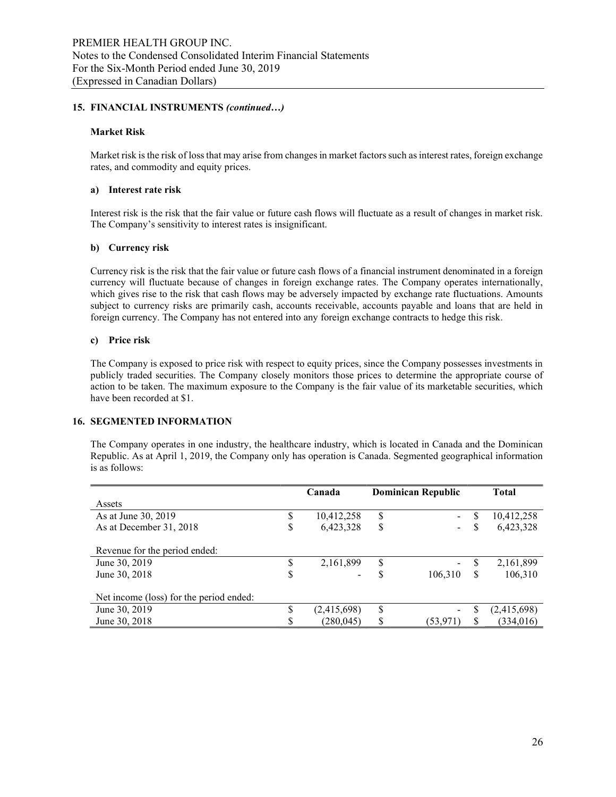## 15. FINANCIAL INSTRUMENTS (continued…)

#### Market Risk

Market risk is the risk of loss that may arise from changes in market factors such as interest rates, foreign exchange rates, and commodity and equity prices.

#### a) Interest rate risk

Interest risk is the risk that the fair value or future cash flows will fluctuate as a result of changes in market risk. The Company's sensitivity to interest rates is insignificant.

#### b) Currency risk

Currency risk is the risk that the fair value or future cash flows of a financial instrument denominated in a foreign currency will fluctuate because of changes in foreign exchange rates. The Company operates internationally, which gives rise to the risk that cash flows may be adversely impacted by exchange rate fluctuations. Amounts subject to currency risks are primarily cash, accounts receivable, accounts payable and loans that are held in foreign currency. The Company has not entered into any foreign exchange contracts to hedge this risk.

#### c) Price risk

The Company is exposed to price risk with respect to equity prices, since the Company possesses investments in publicly traded securities. The Company closely monitors those prices to determine the appropriate course of action to be taken. The maximum exposure to the Company is the fair value of its marketable securities, which have been recorded at \$1.

#### 16. SEGMENTED INFORMATION

The Company operates in one industry, the healthcare industry, which is located in Canada and the Dominican Republic. As at April 1, 2019, the Company only has operation is Canada. Segmented geographical information is as follows:

|                                         |   | Canada      | <b>Dominican Republic</b> |                          |              | <b>Total</b> |
|-----------------------------------------|---|-------------|---------------------------|--------------------------|--------------|--------------|
| Assets                                  |   |             |                           |                          |              |              |
| As at June 30, 2019                     | J | 10,412,258  | \$                        | $\blacksquare$           | S            | 10,412,258   |
| As at December 31, 2018                 | D | 6,423,328   | \$                        |                          | S            | 6,423,328    |
|                                         |   |             |                           |                          |              |              |
| Revenue for the period ended:           |   |             |                           |                          |              |              |
| June 30, 2019                           |   | 2,161,899   | \$                        | $\overline{\phantom{0}}$ | S            | 2,161,899    |
| June 30, 2018                           | Φ |             | S                         | 106,310                  | S            | 106,310      |
|                                         |   |             |                           |                          |              |              |
| Net income (loss) for the period ended: |   |             |                           |                          |              |              |
| June 30, 2019                           | Ф | (2,415,698) | \$                        |                          | S            | (2,415,698)  |
| June 30, 2018                           |   | (280, 045)  | \$                        | (53, 971)                | <sup>S</sup> | (334, 016)   |
|                                         |   |             |                           |                          |              |              |